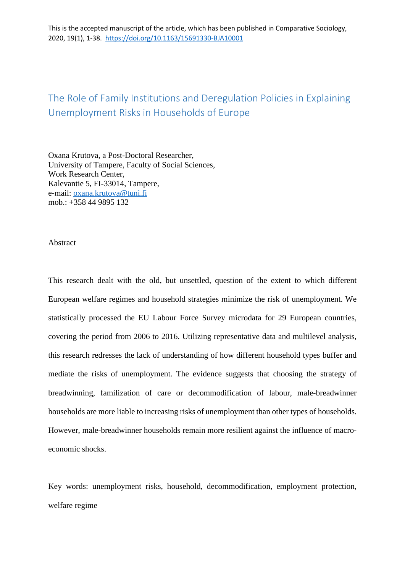This is the accepted manuscript of the article, which has been published in Comparative Sociology, 2020, 19(1), 1-38. https://doi.org/10.1163/15691330-BJA10001

# The Role of Family Institutions and Deregulation Policies in Explaining Unemployment Risks in Households of Europe

Oxana Krutova, a Post-Doctoral Researcher, University of Tampere, Faculty of Social Sciences, Work Research Center, Kalevantie 5, FI-33014, Tampere, e-mail: [oxana.krutova@tuni.fi](mailto:oxana.krutova@tuni.fi) mob.: +358 44 9895 132

Abstract

This research dealt with the old, but unsettled, question of the extent to which different European welfare regimes and household strategies minimize the risk of unemployment. We statistically processed the EU Labour Force Survey microdata for 29 European countries, covering the period from 2006 to 2016. Utilizing representative data and multilevel analysis, this research redresses the lack of understanding of how different household types buffer and mediate the risks of unemployment. The evidence suggests that choosing the strategy of breadwinning, familization of care or decommodification of labour, male-breadwinner households are more liable to increasing risks of unemployment than other types of households. However, male-breadwinner households remain more resilient against the influence of macroeconomic shocks.

Key words: unemployment risks, household, decommodification, employment protection, welfare regime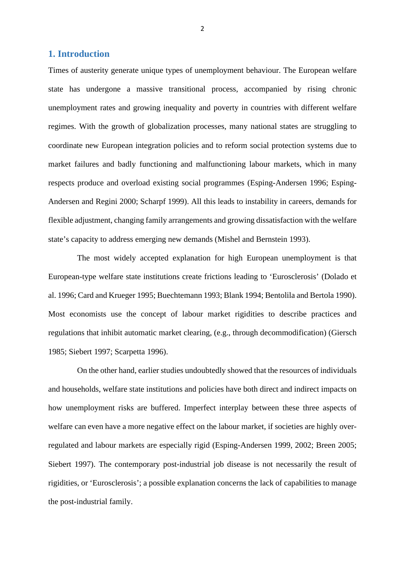## **1. Introduction**

Times of austerity generate unique types of unemployment behaviour. The European welfare state has undergone a massive transitional process, accompanied by rising chronic unemployment rates and growing inequality and poverty in countries with different welfare regimes. With the growth of globalization processes, many national states are struggling to coordinate new European integration policies and to reform social protection systems due to market failures and badly functioning and malfunctioning labour markets, which in many respects produce and overload existing social programmes (Esping-Andersen 1996; Esping-Andersen and Regini 2000; Scharpf 1999). All this leads to instability in careers, demands for flexible adjustment, changing family arrangements and growing dissatisfaction with the welfare state's capacity to address emerging new demands (Mishel and Bernstein 1993).

The most widely accepted explanation for high European unemployment is that European-type welfare state institutions create frictions leading to 'Eurosclerosis' (Dolado et al. 1996; Card and Krueger 1995; Buechtemann 1993; Blank 1994; Bentolila and Bertola 1990). Most economists use the concept of labour market rigidities to describe practices and regulations that inhibit automatic market clearing, (e.g., through decommodification) (Giersch 1985; Siebert 1997; Scarpetta 1996).

On the other hand, earlier studies undoubtedly showed that the resources of individuals and households, welfare state institutions and policies have both direct and indirect impacts on how unemployment risks are buffered. Imperfect interplay between these three aspects of welfare can even have a more negative effect on the labour market, if societies are highly overregulated and labour markets are especially rigid (Esping-Andersen 1999, 2002; Breen 2005; Siebert 1997). The contemporary post-industrial job disease is not necessarily the result of rigidities, or 'Eurosclerosis'; a possible explanation concerns the lack of capabilities to manage the post-industrial family.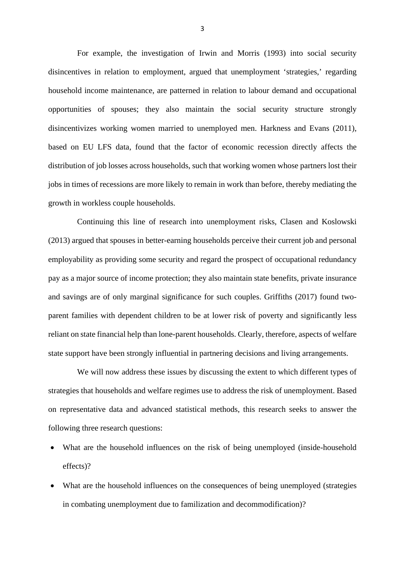For example, the investigation of Irwin and Morris (1993) into social security disincentives in relation to employment, argued that unemployment 'strategies,' regarding household income maintenance, are patterned in relation to labour demand and occupational opportunities of spouses; they also maintain the social security structure strongly disincentivizes working women married to unemployed men. Harkness and Evans (2011), based on EU LFS data, found that the factor of economic recession directly affects the distribution of job losses across households, such that working women whose partners lost their jobs in times of recessions are more likely to remain in work than before, thereby mediating the growth in workless couple households.

Continuing this line of research into unemployment risks, Clasen and Koslowski (2013) argued that spouses in better-earning households perceive their current job and personal employability as providing some security and regard the prospect of occupational redundancy pay as a major source of income protection; they also maintain state benefits, private insurance and savings are of only marginal significance for such couples. Griffiths (2017) found twoparent families with dependent children to be at lower risk of poverty and significantly less reliant on state financial help than lone-parent households. Clearly, therefore, aspects of welfare state support have been strongly influential in partnering decisions and living arrangements.

We will now address these issues by discussing the extent to which different types of strategies that households and welfare regimes use to address the risk of unemployment. Based on representative data and advanced statistical methods, this research seeks to answer the following three research questions:

- What are the household influences on the risk of being unemployed (inside-household effects)?
- What are the household influences on the consequences of being unemployed (strategies in combating unemployment due to familization and decommodification)?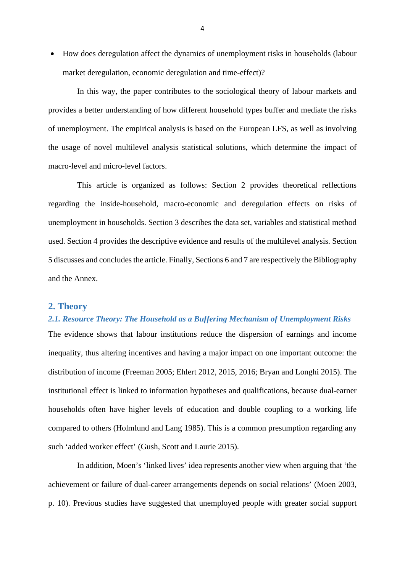• How does deregulation affect the dynamics of unemployment risks in households (labour market deregulation, economic deregulation and time-effect)?

In this way, the paper contributes to the sociological theory of labour markets and provides a better understanding of how different household types buffer and mediate the risks of unemployment. The empirical analysis is based on the European LFS, as well as involving the usage of novel multilevel analysis statistical solutions, which determine the impact of macro-level and micro-level factors.

This article is organized as follows: Section 2 provides theoretical reflections regarding the inside-household, macro-economic and deregulation effects on risks of unemployment in households. Section 3 describes the data set, variables and statistical method used. Section 4 provides the descriptive evidence and results of the multilevel analysis. Section 5 discusses and concludes the article. Finally, Sections 6 and 7 are respectively the Bibliography and the Annex.

#### **2. Theory**

## *2.1. Resource Theory: The Household as a Buffering Mechanism of Unemployment Risks*

The evidence shows that labour institutions reduce the dispersion of earnings and income inequality, thus altering incentives and having a major impact on one important outcome: the distribution of income (Freeman 2005; Ehlert 2012, 2015, 2016; Bryan and Longhi 2015). The institutional effect is linked to information hypotheses and qualifications, because dual-earner households often have higher levels of education and double coupling to a working life compared to others (Holmlund and Lang 1985). This is a common presumption regarding any such 'added worker effect' (Gush, Scott and Laurie 2015).

In addition, Moen's 'linked lives' idea represents another view when arguing that 'the achievement or failure of dual-career arrangements depends on social relations' (Moen 2003, p. 10). Previous studies have suggested that unemployed people with greater social support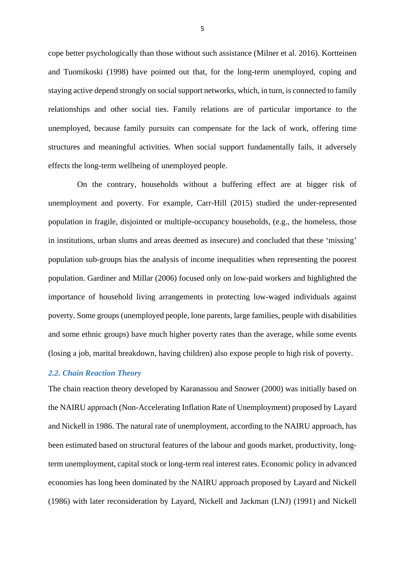cope better psychologically than those without such assistance (Milner et al. 2016). Kortteinen and Tuomikoski (1998) have pointed out that, for the long-term unemployed, coping and staying active depend strongly on social support networks, which, in turn, is connected to family relationships and other social ties. Family relations are of particular importance to the unemployed, because family pursuits can compensate for the lack of work, offering time structures and meaningful activities. When social support fundamentally fails, it adversely effects the long-term wellbeing of unemployed people.

On the contrary, households without a buffering effect are at bigger risk of unemployment and poverty. For example, Carr-Hill (2015) studied the under-represented population in fragile, disjointed or multiple-occupancy households, (e.g., the homeless, those in institutions, urban slums and areas deemed as insecure) and concluded that these 'missing' population sub-groups bias the analysis of income inequalities when representing the poorest population. Gardiner and Millar (2006) focused only on low-paid workers and highlighted the importance of household living arrangements in protecting low-waged individuals against poverty. Some groups (unemployed people, lone parents, large families, people with disabilities and some ethnic groups) have much higher poverty rates than the average, while some events (losing a job, marital breakdown, having children) also expose people to high risk of poverty.

### *2.2. Chain Reaction Theory*

The chain reaction theory developed by Karanassou and Snower (2000) was initially based on the NAIRU approach (Non-Accelerating Inflation Rate of Unemployment) proposed by Layard and Nickell in 1986. The natural rate of unemployment, according to the NAIRU approach, has been estimated based on structural features of the labour and goods market, productivity, longterm unemployment, capital stock or long-term real interest rates. Economic policy in advanced economies has long been dominated by the NAIRU approach proposed by Layard and Nickell (1986) with later reconsideration by Layard, Nickell and Jackman (LNJ) (1991) and Nickell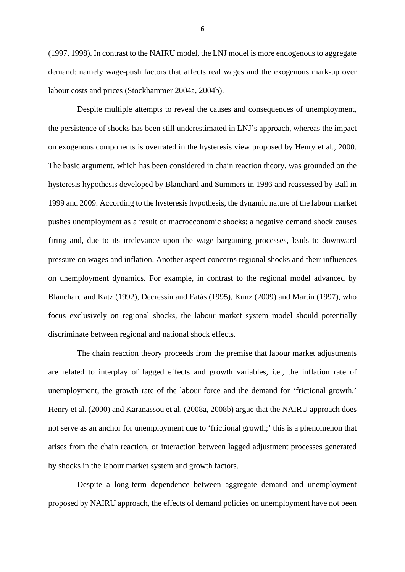(1997, 1998). In contrast to the NAIRU model, the LNJ model is more endogenous to aggregate demand: namely wage-push factors that affects real wages and the exogenous mark-up over labour costs and prices (Stockhammer 2004a, 2004b).

Despite multiple attempts to reveal the causes and consequences of unemployment, the persistence of shocks has been still underestimated in LNJ's approach, whereas the impact on exogenous components is overrated in the hysteresis view proposed by Henry et al., 2000. The basic argument, which has been considered in chain reaction theory, was grounded on the hysteresis hypothesis developed by Blanchard and Summers in 1986 and reassessed by Ball in 1999 and 2009. According to the hysteresis hypothesis, the dynamic nature of the labour market pushes unemployment as a result of macroeconomic shocks: a negative demand shock causes firing and, due to its irrelevance upon the wage bargaining processes, leads to downward pressure on wages and inflation. Another aspect concerns regional shocks and their influences on unemployment dynamics. For example, in contrast to the regional model advanced by Blanchard and Katz (1992), Decressin and Fatás (1995), Kunz (2009) and Martin (1997), who focus exclusively on regional shocks, the labour market system model should potentially discriminate between regional and national shock effects.

The chain reaction theory proceeds from the premise that labour market adjustments are related to interplay of lagged effects and growth variables, i.e., the inflation rate of unemployment, the growth rate of the labour force and the demand for 'frictional growth.' Henry et al. (2000) and Karanassou et al. (2008a, 2008b) argue that the NAIRU approach does not serve as an anchor for unemployment due to 'frictional growth;' this is a phenomenon that arises from the chain reaction, or interaction between lagged adjustment processes generated by shocks in the labour market system and growth factors.

Despite a long-term dependence between aggregate demand and unemployment proposed by NAIRU approach, the effects of demand policies on unemployment have not been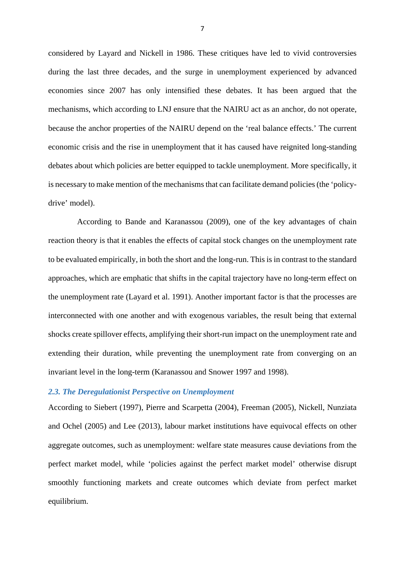considered by Layard and Nickell in 1986. These critiques have led to vivid controversies during the last three decades, and the surge in unemployment experienced by advanced economies since 2007 has only intensified these debates. It has been argued that the mechanisms, which according to LNJ ensure that the NAIRU act as an anchor, do not operate, because the anchor properties of the NAIRU depend on the 'real balance effects.' The current economic crisis and the rise in unemployment that it has caused have reignited long-standing debates about which policies are better equipped to tackle unemployment. More specifically, it is necessary to make mention of the mechanisms that can facilitate demand policies (the 'policydrive' model).

According to Bande and Karanassou (2009), one of the key advantages of chain reaction theory is that it enables the effects of capital stock changes on the unemployment rate to be evaluated empirically, in both the short and the long-run. This is in contrast to the standard approaches, which are emphatic that shifts in the capital trajectory have no long-term effect on the unemployment rate (Layard et al. 1991). Another important factor is that the processes are interconnected with one another and with exogenous variables, the result being that external shocks create spillover effects, amplifying their short-run impact on the unemployment rate and extending their duration, while preventing the unemployment rate from converging on an invariant level in the long-term (Karanassou and Snower 1997 and 1998).

### *2.3. The Deregulationist Perspective on Unemployment*

According to Siebert (1997), Pierre and Scarpetta (2004), Freeman (2005), Nickell, Nunziata and Ochel (2005) and Lee (2013), labour market institutions have equivocal effects on other aggregate outcomes, such as unemployment: welfare state measures cause deviations from the perfect market model, while 'policies against the perfect market model' otherwise disrupt smoothly functioning markets and create outcomes which deviate from perfect market equilibrium.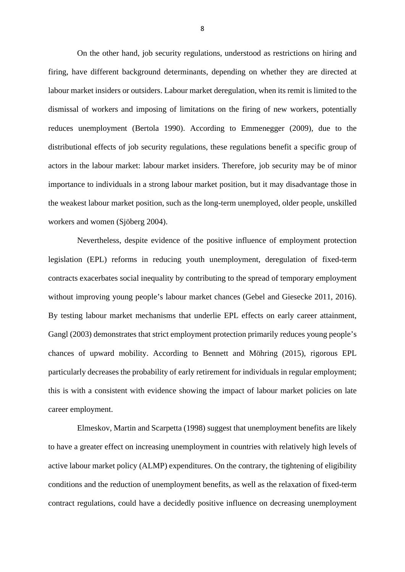On the other hand, job security regulations, understood as restrictions on hiring and firing, have different background determinants, depending on whether they are directed at labour market insiders or outsiders. Labour market deregulation, when its remit is limited to the dismissal of workers and imposing of limitations on the firing of new workers, potentially reduces unemployment (Bertola 1990). According to Emmenegger (2009), due to the distributional effects of job security regulations, these regulations benefit a specific group of actors in the labour market: labour market insiders. Therefore, job security may be of minor importance to individuals in a strong labour market position, but it may disadvantage those in the weakest labour market position, such as the long-term unemployed, older people, unskilled workers and women (Sjöberg 2004).

Nevertheless, despite evidence of the positive influence of employment protection legislation (EPL) reforms in reducing youth unemployment, deregulation of fixed-term contracts exacerbates social inequality by contributing to the spread of temporary employment without improving young people's labour market chances (Gebel and Giesecke 2011, 2016). By testing labour market mechanisms that underlie EPL effects on early career attainment, Gangl (2003) demonstrates that strict employment protection primarily reduces young people's chances of upward mobility. According to Bennett and Möhring (2015), rigorous EPL particularly decreases the probability of early retirement for individuals in regular employment; this is with a consistent with evidence showing the impact of labour market policies on late career employment.

Elmeskov, Martin and Scarpetta (1998) suggest that unemployment benefits are likely to have a greater effect on increasing unemployment in countries with relatively high levels of active labour market policy (ALMP) expenditures. On the contrary, the tightening of eligibility conditions and the reduction of unemployment benefits, as well as the relaxation of fixed-term contract regulations, could have a decidedly positive influence on decreasing unemployment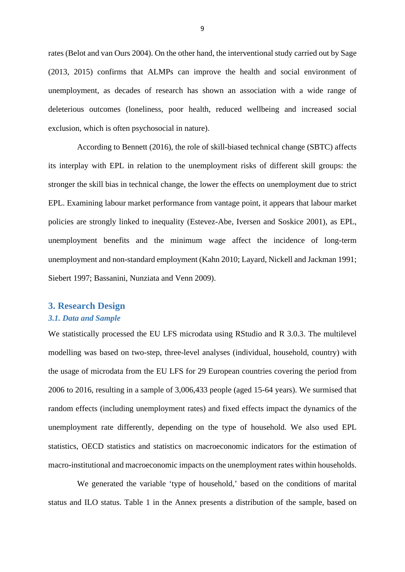rates (Belot and van Ours 2004). On the other hand, the interventional study carried out by Sage (2013, 2015) confirms that ALMPs can improve the health and social environment of unemployment, as decades of research has shown an association with a wide range of deleterious outcomes (loneliness, poor health, reduced wellbeing and increased social exclusion, which is often psychosocial in nature).

According to Bennett (2016), the role of skill-biased technical change (SBTC) affects its interplay with EPL in relation to the unemployment risks of different skill groups: the stronger the skill bias in technical change, the lower the effects on unemployment due to strict EPL. Examining labour market performance from vantage point, it appears that labour market policies are strongly linked to inequality (Estevez-Abe, Iversen and Soskice 2001), as EPL, unemployment benefits and the minimum wage affect the incidence of long-term unemployment and non-standard employment (Kahn 2010; Layard, Nickell and Jackman 1991; Siebert 1997; Bassanini, Nunziata and Venn 2009).

## **3. Research Design**

### *3.1. Data and Sample*

We statistically processed the EU LFS microdata using RStudio and R 3.0.3. The multilevel modelling was based on two-step, three-level analyses (individual, household, country) with the usage of microdata from the EU LFS for 29 European countries covering the period from 2006 to 2016, resulting in a sample of 3,006,433 people (aged 15-64 years). We surmised that random effects (including unemployment rates) and fixed effects impact the dynamics of the unemployment rate differently, depending on the type of household. We also used EPL statistics, OECD statistics and statistics on macroeconomic indicators for the estimation of macro-institutional and macroeconomic impacts on the unemployment rates within households.

We generated the variable 'type of household,' based on the conditions of marital status and ILO status. Table 1 in the Annex presents a distribution of the sample, based on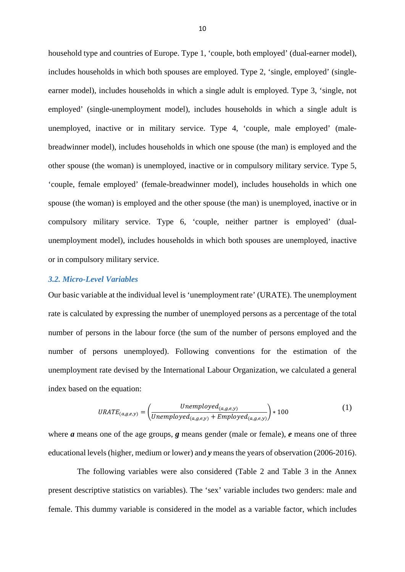household type and countries of Europe. Type 1, 'couple, both employed' (dual-earner model), includes households in which both spouses are employed. Type 2, 'single, employed' (singleearner model), includes households in which a single adult is employed. Type 3, 'single, not employed' (single-unemployment model), includes households in which a single adult is unemployed, inactive or in military service. Type 4, 'couple, male employed' (malebreadwinner model), includes households in which one spouse (the man) is employed and the other spouse (the woman) is unemployed, inactive or in compulsory military service. Type 5, 'couple, female employed' (female-breadwinner model), includes households in which one spouse (the woman) is employed and the other spouse (the man) is unemployed, inactive or in compulsory military service. Type 6, 'couple, neither partner is employed' (dualunemployment model), includes households in which both spouses are unemployed, inactive or in compulsory military service.

## *3.2. Micro-Level Variables*

Our basic variable at the individual level is 'unemployment rate' (URATE). The unemployment rate is calculated by expressing the number of unemployed persons as a percentage of the total number of persons in the labour force (the sum of the number of persons employed and the number of persons unemployed). Following conventions for the estimation of the unemployment rate devised by the International Labour Organization, we calculated a general index based on the equation:

$$
URATE_{(a,g,e,y)} = \left(\frac{Unemployed_{(a,g,e,y)}}{Unemployed_{(a,g,e,y)} + Emploved_{(a,g,e,y)}}\right) * 100
$$
\n(1)

where *a* means one of the age groups, *g* means gender (male or female), *e* means one of three educational levels (higher, medium or lower) and *y* means the years of observation (2006-2016).

The following variables were also considered (Table 2 and Table 3 in the Annex present descriptive statistics on variables). The 'sex' variable includes two genders: male and female. This dummy variable is considered in the model as a variable factor, which includes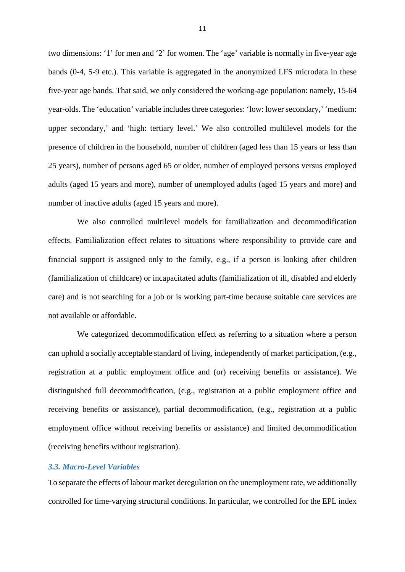two dimensions: '1' for men and '2' for women. The 'age' variable is normally in five-year age bands (0-4, 5-9 etc.). This variable is aggregated in the anonymized LFS microdata in these five-year age bands. That said, we only considered the working-age population: namely, 15-64 year-olds. The 'education' variable includes three categories: 'low: lower secondary,' 'medium: upper secondary,' and 'high: tertiary level.' We also controlled multilevel models for the presence of children in the household, number of children (aged less than 15 years or less than 25 years), number of persons aged 65 or older, number of employed persons versus employed adults (aged 15 years and more), number of unemployed adults (aged 15 years and more) and number of inactive adults (aged 15 years and more).

We also controlled multilevel models for familialization and decommodification effects. Familialization effect relates to situations where responsibility to provide care and financial support is assigned only to the family, e.g., if a person is looking after children (familialization of childcare) or incapacitated adults (familialization of ill, disabled and elderly care) and is not searching for a job or is working part-time because suitable care services are not available or affordable.

We categorized decommodification effect as referring to a situation where a person can uphold a socially acceptable standard of living, independently of market participation, (e.g., registration at a public employment office and (or) receiving benefits or assistance). We distinguished full decommodification, (e.g., registration at a public employment office and receiving benefits or assistance), partial decommodification, (e.g., registration at a public employment office without receiving benefits or assistance) and limited decommodification (receiving benefits without registration).

### *3.3. Macro-Level Variables*

To separate the effects of labour market deregulation on the unemployment rate, we additionally controlled for time-varying structural conditions. In particular, we controlled for the EPL index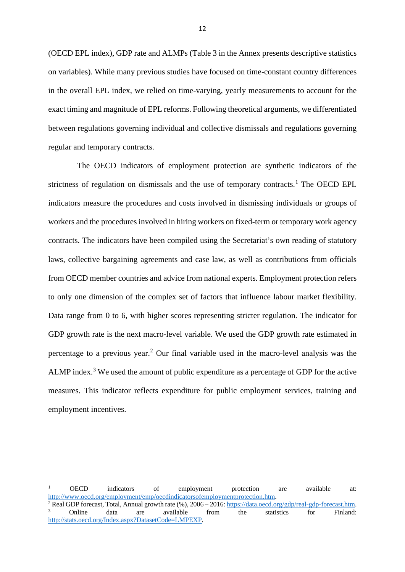(OECD EPL index), GDP rate and ALMPs (Table 3 in the Annex presents descriptive statistics on variables). While many previous studies have focused on time-constant country differences in the overall EPL index, we relied on time-varying, yearly measurements to account for the exact timing and magnitude of EPL reforms. Following theoretical arguments, we differentiated between regulations governing individual and collective dismissals and regulations governing regular and temporary contracts.

The OECD indicators of employment protection are synthetic indicators of the strictness of regulation on dismissals and the use of temporary contracts.<sup>[1](#page-11-0)</sup> The OECD EPL indicators measure the procedures and costs involved in dismissing individuals or groups of workers and the procedures involved in hiring workers on fixed-term or temporary work agency contracts. The indicators have been compiled using the Secretariat's own reading of statutory laws, collective bargaining agreements and case law, as well as contributions from officials from OECD member countries and advice from national experts. Employment protection refers to only one dimension of the complex set of factors that influence labour market flexibility. Data range from 0 to 6, with higher scores representing stricter regulation. The indicator for GDP growth rate is the next macro-level variable. We used the GDP growth rate estimated in percentage to a previous year. [2](#page-11-1) Our final variable used in the macro-level analysis was the ALMP index.<sup>[3](#page-11-2)</sup> We used the amount of public expenditure as a percentage of GDP for the active measures. This indicator reflects expenditure for public employment services, training and employment incentives.

<span id="page-11-0"></span><sup>1</sup> OECD indicators of employment protection are available at:

<span id="page-11-2"></span><span id="page-11-1"></span>http://www.oecd.org/employment/emp/oecdindicatorsofemploymentprotection.htm.<br>
<sup>2</sup> Real GDP forecast, Total, Annual growth rate (%), 2006 – 2016[: https://data.oecd.org/gdp/real-gdp-forecast.htm.](https://data.oecd.org/gdp/real-gdp-forecast.htm)<br>
<sup>3</sup> Online data are availab [http://stats.oecd.org/Index.aspx?DatasetCode=LMPEXP.](http://stats.oecd.org/Index.aspx?DatasetCode=LMPEXP)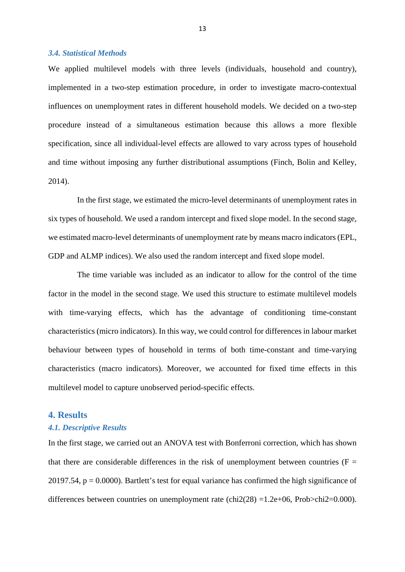#### *3.4. Statistical Methods*

We applied multilevel models with three levels (individuals, household and country), implemented in a two-step estimation procedure, in order to investigate macro-contextual influences on unemployment rates in different household models. We decided on a two-step procedure instead of a simultaneous estimation because this allows a more flexible specification, since all individual-level effects are allowed to vary across types of household and time without imposing any further distributional assumptions (Finch, Bolin and Kelley, 2014).

In the first stage, we estimated the micro-level determinants of unemployment rates in six types of household. We used a random intercept and fixed slope model. In the second stage, we estimated macro-level determinants of unemployment rate by means macro indicators (EPL, GDP and ALMP indices). We also used the random intercept and fixed slope model.

The time variable was included as an indicator to allow for the control of the time factor in the model in the second stage. We used this structure to estimate multilevel models with time-varying effects, which has the advantage of conditioning time-constant characteristics (micro indicators). In this way, we could control for differences in labour market behaviour between types of household in terms of both time-constant and time-varying characteristics (macro indicators). Moreover, we accounted for fixed time effects in this multilevel model to capture unobserved period-specific effects.

### **4. Results**

## *4.1. Descriptive Results*

In the first stage, we carried out an ANOVA test with Bonferroni correction, which has shown that there are considerable differences in the risk of unemployment between countries ( $F =$ 20197.54,  $p = 0.0000$ ). Bartlett's test for equal variance has confirmed the high significance of differences between countries on unemployment rate (chi2(28) =1.2e+06, Prob>chi2=0.000).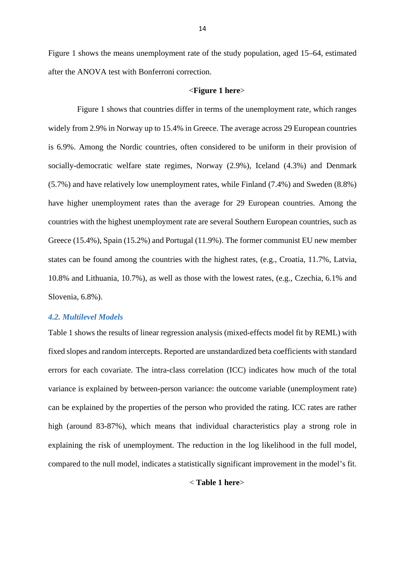Figure 1 shows the means unemployment rate of the study population, aged 15–64, estimated after the ANOVA test with Bonferroni correction.

#### <**Figure 1 here**>

Figure 1 shows that countries differ in terms of the unemployment rate, which ranges widely from 2.9% in Norway up to 15.4% in Greece. The average across 29 European countries is 6.9%. Among the Nordic countries, often considered to be uniform in their provision of socially-democratic welfare state regimes, Norway (2.9%), Iceland (4.3%) and Denmark (5.7%) and have relatively low unemployment rates, while Finland (7.4%) and Sweden (8.8%) have higher unemployment rates than the average for 29 European countries. Among the countries with the highest unemployment rate are several Southern European countries, such as Greece (15.4%), Spain (15.2%) and Portugal (11.9%). The former communist EU new member states can be found among the countries with the highest rates, (e.g., Croatia, 11.7%, Latvia, 10.8% and Lithuania, 10.7%), as well as those with the lowest rates, (e.g., Czechia, 6.1% and Slovenia, 6.8%).

### *4.2. Multilevel Models*

Table 1 shows the results of linear regression analysis (mixed-effects model fit by REML) with fixed slopes and random intercepts. Reported are unstandardized beta coefficients with standard errors for each covariate. The intra-class correlation (ICC) indicates how much of the total variance is explained by between-person variance: the outcome variable (unemployment rate) can be explained by the properties of the person who provided the rating. ICC rates are rather high (around 83-87%), which means that individual characteristics play a strong role in explaining the risk of unemployment. The reduction in the log likelihood in the full model, compared to the null model, indicates a statistically significant improvement in the model's fit.

< **Table 1 here**>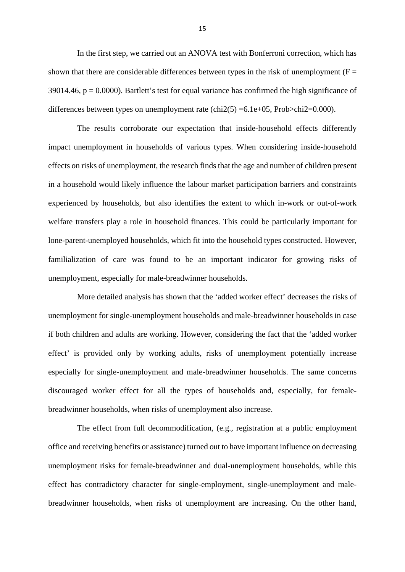In the first step, we carried out an ANOVA test with Bonferroni correction, which has shown that there are considerable differences between types in the risk of unemployment ( $F =$ 39014.46,  $p = 0.0000$ ). Bartlett's test for equal variance has confirmed the high significance of differences between types on unemployment rate  $\text{(chi2}(5) = 6.1\text{e} + 05, \text{Prob} > \text{chi2} = 0.000)$ .

The results corroborate our expectation that inside-household effects differently impact unemployment in households of various types. When considering inside-household effects on risks of unemployment, the research finds that the age and number of children present in a household would likely influence the labour market participation barriers and constraints experienced by households, but also identifies the extent to which in-work or out-of-work welfare transfers play a role in household finances. This could be particularly important for lone-parent-unemployed households, which fit into the household types constructed. However, familialization of care was found to be an important indicator for growing risks of unemployment, especially for male-breadwinner households.

More detailed analysis has shown that the 'added worker effect' decreases the risks of unemployment for single-unemployment households and male-breadwinner households in case if both children and adults are working. However, considering the fact that the 'added worker effect' is provided only by working adults, risks of unemployment potentially increase especially for single-unemployment and male-breadwinner households. The same concerns discouraged worker effect for all the types of households and, especially, for femalebreadwinner households, when risks of unemployment also increase.

The effect from full decommodification, (e.g., registration at a public employment office and receiving benefits or assistance) turned out to have important influence on decreasing unemployment risks for female-breadwinner and dual-unemployment households, while this effect has contradictory character for single-employment, single-unemployment and malebreadwinner households, when risks of unemployment are increasing. On the other hand,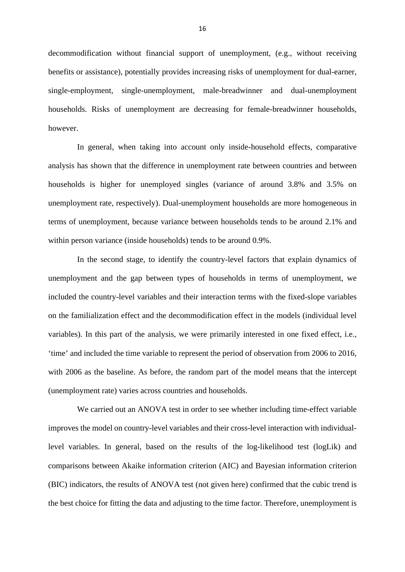decommodification without financial support of unemployment, (e.g., without receiving benefits or assistance), potentially provides increasing risks of unemployment for dual-earner, single-employment, single-unemployment, male-breadwinner and dual-unemployment households. Risks of unemployment are decreasing for female-breadwinner households, however.

In general, when taking into account only inside-household effects, comparative analysis has shown that the difference in unemployment rate between countries and between households is higher for unemployed singles (variance of around 3.8% and 3.5% on unemployment rate, respectively). Dual-unemployment households are more homogeneous in terms of unemployment, because variance between households tends to be around 2.1% and within person variance (inside households) tends to be around 0.9%.

In the second stage, to identify the country-level factors that explain dynamics of unemployment and the gap between types of households in terms of unemployment, we included the country-level variables and their interaction terms with the fixed-slope variables on the familialization effect and the decommodification effect in the models (individual level variables). In this part of the analysis, we were primarily interested in one fixed effect, i.e., 'time' and included the time variable to represent the period of observation from 2006 to 2016, with 2006 as the baseline. As before, the random part of the model means that the intercept (unemployment rate) varies across countries and households.

We carried out an ANOVA test in order to see whether including time-effect variable improves the model on country-level variables and their cross-level interaction with individuallevel variables. In general, based on the results of the log-likelihood test (logLik) and comparisons between Akaike information criterion (AIC) and Bayesian information criterion (BIC) indicators, the results of ANOVA test (not given here) confirmed that the cubic trend is the best choice for fitting the data and adjusting to the time factor. Therefore, unemployment is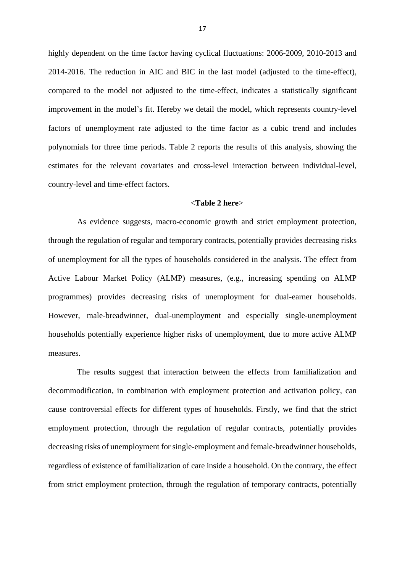highly dependent on the time factor having cyclical fluctuations: 2006-2009, 2010-2013 and 2014-2016. The reduction in AIC and BIC in the last model (adjusted to the time-effect), compared to the model not adjusted to the time-effect, indicates a statistically significant improvement in the model's fit. Hereby we detail the model, which represents country-level factors of unemployment rate adjusted to the time factor as a cubic trend and includes polynomials for three time periods. Table 2 reports the results of this analysis, showing the estimates for the relevant covariates and cross-level interaction between individual-level, country-level and time-effect factors.

#### <**Table 2 here**>

As evidence suggests, macro-economic growth and strict employment protection, through the regulation of regular and temporary contracts, potentially provides decreasing risks of unemployment for all the types of households considered in the analysis. The effect from Active Labour Market Policy (ALMP) measures, (e.g., increasing spending on ALMP programmes) provides decreasing risks of unemployment for dual-earner households. However, male-breadwinner, dual-unemployment and especially single-unemployment households potentially experience higher risks of unemployment, due to more active ALMP measures.

The results suggest that interaction between the effects from familialization and decommodification, in combination with employment protection and activation policy, can cause controversial effects for different types of households. Firstly, we find that the strict employment protection, through the regulation of regular contracts, potentially provides decreasing risks of unemployment for single-employment and female-breadwinner households, regardless of existence of familialization of care inside a household. On the contrary, the effect from strict employment protection, through the regulation of temporary contracts, potentially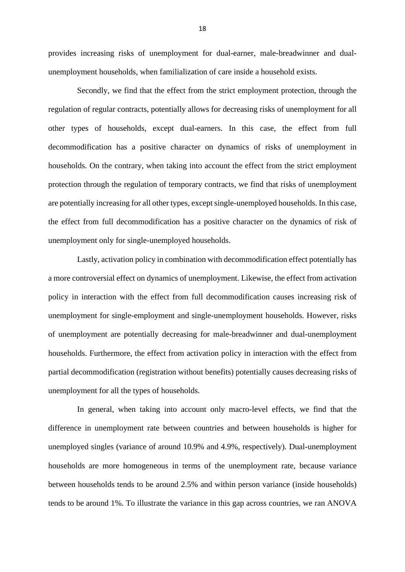provides increasing risks of unemployment for dual-earner, male-breadwinner and dualunemployment households, when familialization of care inside a household exists.

Secondly, we find that the effect from the strict employment protection, through the regulation of regular contracts, potentially allows for decreasing risks of unemployment for all other types of households, except dual-earners. In this case, the effect from full decommodification has a positive character on dynamics of risks of unemployment in households. On the contrary, when taking into account the effect from the strict employment protection through the regulation of temporary contracts, we find that risks of unemployment are potentially increasing for all other types, except single-unemployed households. In this case, the effect from full decommodification has a positive character on the dynamics of risk of unemployment only for single-unemployed households.

Lastly, activation policy in combination with decommodification effect potentially has a more controversial effect on dynamics of unemployment. Likewise, the effect from activation policy in interaction with the effect from full decommodification causes increasing risk of unemployment for single-employment and single-unemployment households. However, risks of unemployment are potentially decreasing for male-breadwinner and dual-unemployment households. Furthermore, the effect from activation policy in interaction with the effect from partial decommodification (registration without benefits) potentially causes decreasing risks of unemployment for all the types of households.

In general, when taking into account only macro-level effects, we find that the difference in unemployment rate between countries and between households is higher for unemployed singles (variance of around 10.9% and 4.9%, respectively). Dual-unemployment households are more homogeneous in terms of the unemployment rate, because variance between households tends to be around 2.5% and within person variance (inside households) tends to be around 1%. To illustrate the variance in this gap across countries, we ran ANOVA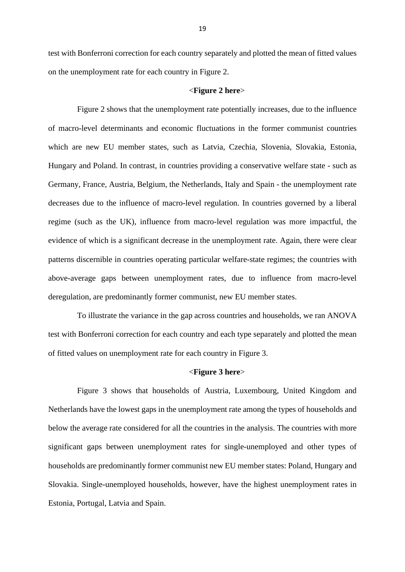test with Bonferroni correction for each country separately and plotted the mean of fitted values on the unemployment rate for each country in Figure 2.

#### <**Figure 2 here**>

Figure 2 shows that the unemployment rate potentially increases, due to the influence of macro-level determinants and economic fluctuations in the former communist countries which are new EU member states, such as Latvia, Czechia, Slovenia, Slovakia, Estonia, Hungary and Poland. In contrast, in countries providing a conservative welfare state - such as Germany, France, Austria, Belgium, the Netherlands, Italy and Spain - the unemployment rate decreases due to the influence of macro-level regulation. In countries governed by a liberal regime (such as the UK), influence from macro-level regulation was more impactful, the evidence of which is a significant decrease in the unemployment rate. Again, there were clear patterns discernible in countries operating particular welfare-state regimes; the countries with above-average gaps between unemployment rates, due to influence from macro-level deregulation, are predominantly former communist, new EU member states.

To illustrate the variance in the gap across countries and households, we ran ANOVA test with Bonferroni correction for each country and each type separately and plotted the mean of fitted values on unemployment rate for each country in Figure 3.

#### <**Figure 3 here**>

Figure 3 shows that households of Austria, Luxembourg, United Kingdom and Netherlands have the lowest gaps in the unemployment rate among the types of households and below the average rate considered for all the countries in the analysis. The countries with more significant gaps between unemployment rates for single-unemployed and other types of households are predominantly former communist new EU member states: Poland, Hungary and Slovakia. Single-unemployed households, however, have the highest unemployment rates in Estonia, Portugal, Latvia and Spain.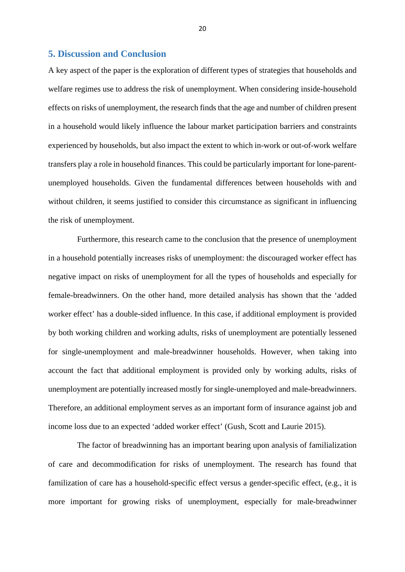## **5. Discussion and Conclusion**

A key aspect of the paper is the exploration of different types of strategies that households and welfare regimes use to address the risk of unemployment. When considering inside-household effects on risks of unemployment, the research finds that the age and number of children present in a household would likely influence the labour market participation barriers and constraints experienced by households, but also impact the extent to which in-work or out-of-work welfare transfers play a role in household finances. This could be particularly important for lone-parentunemployed households. Given the fundamental differences between households with and without children, it seems justified to consider this circumstance as significant in influencing the risk of unemployment.

Furthermore, this research came to the conclusion that the presence of unemployment in a household potentially increases risks of unemployment: the discouraged worker effect has negative impact on risks of unemployment for all the types of households and especially for female-breadwinners. On the other hand, more detailed analysis has shown that the 'added worker effect' has a double-sided influence. In this case, if additional employment is provided by both working children and working adults, risks of unemployment are potentially lessened for single-unemployment and male-breadwinner households. However, when taking into account the fact that additional employment is provided only by working adults, risks of unemployment are potentially increased mostly for single-unemployed and male-breadwinners. Therefore, an additional employment serves as an important form of insurance against job and income loss due to an expected 'added worker effect' (Gush, Scott and Laurie 2015).

The factor of breadwinning has an important bearing upon analysis of familialization of care and decommodification for risks of unemployment. The research has found that familization of care has a household-specific effect versus a gender-specific effect, (e.g., it is more important for growing risks of unemployment, especially for male-breadwinner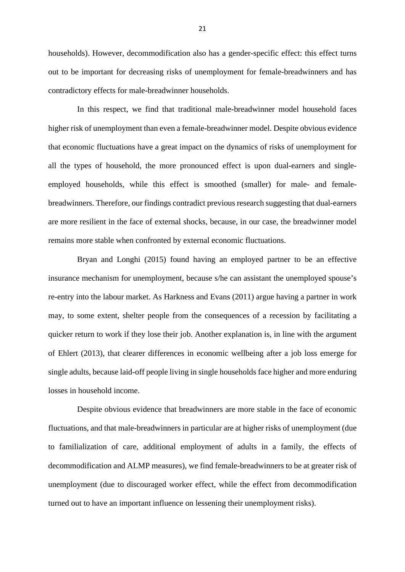households). However, decommodification also has a gender-specific effect: this effect turns out to be important for decreasing risks of unemployment for female-breadwinners and has contradictory effects for male-breadwinner households.

In this respect, we find that traditional male-breadwinner model household faces higher risk of unemployment than even a female-breadwinner model. Despite obvious evidence that economic fluctuations have a great impact on the dynamics of risks of unemployment for all the types of household, the more pronounced effect is upon dual-earners and singleemployed households, while this effect is smoothed (smaller) for male- and femalebreadwinners. Therefore, our findings contradict previous research suggesting that dual-earners are more resilient in the face of external shocks, because, in our case, the breadwinner model remains more stable when confronted by external economic fluctuations.

Bryan and Longhi (2015) found having an employed partner to be an effective insurance mechanism for unemployment, because s/he can assistant the unemployed spouse's re-entry into the labour market. As Harkness and Evans (2011) argue having a partner in work may, to some extent, shelter people from the consequences of a recession by facilitating a quicker return to work if they lose their job. Another explanation is, in line with the argument of Ehlert (2013), that clearer differences in economic wellbeing after a job loss emerge for single adults, because laid-off people living in single households face higher and more enduring losses in household income.

Despite obvious evidence that breadwinners are more stable in the face of economic fluctuations, and that male-breadwinners in particular are at higher risks of unemployment (due to familialization of care, additional employment of adults in a family, the effects of decommodification and ALMP measures), we find female-breadwinners to be at greater risk of unemployment (due to discouraged worker effect, while the effect from decommodification turned out to have an important influence on lessening their unemployment risks).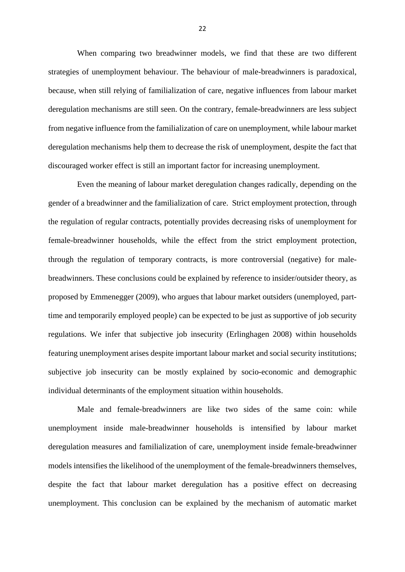When comparing two breadwinner models, we find that these are two different strategies of unemployment behaviour. The behaviour of male-breadwinners is paradoxical, because, when still relying of familialization of care, negative influences from labour market deregulation mechanisms are still seen. On the contrary, female-breadwinners are less subject from negative influence from the familialization of care on unemployment, while labour market deregulation mechanisms help them to decrease the risk of unemployment, despite the fact that discouraged worker effect is still an important factor for increasing unemployment.

Even the meaning of labour market deregulation changes radically, depending on the gender of a breadwinner and the familialization of care. Strict employment protection, through the regulation of regular contracts, potentially provides decreasing risks of unemployment for female-breadwinner households, while the effect from the strict employment protection, through the regulation of temporary contracts, is more controversial (negative) for malebreadwinners. These conclusions could be explained by reference to insider/outsider theory, as proposed by Emmenegger (2009), who argues that labour market outsiders (unemployed, parttime and temporarily employed people) can be expected to be just as supportive of job security regulations. We infer that subjective job insecurity (Erlinghagen 2008) within households featuring unemployment arises despite important labour market and social security institutions; subjective job insecurity can be mostly explained by socio-economic and demographic individual determinants of the employment situation within households.

Male and female-breadwinners are like two sides of the same coin: while unemployment inside male-breadwinner households is intensified by labour market deregulation measures and familialization of care, unemployment inside female-breadwinner models intensifies the likelihood of the unemployment of the female-breadwinners themselves, despite the fact that labour market deregulation has a positive effect on decreasing unemployment. This conclusion can be explained by the mechanism of automatic market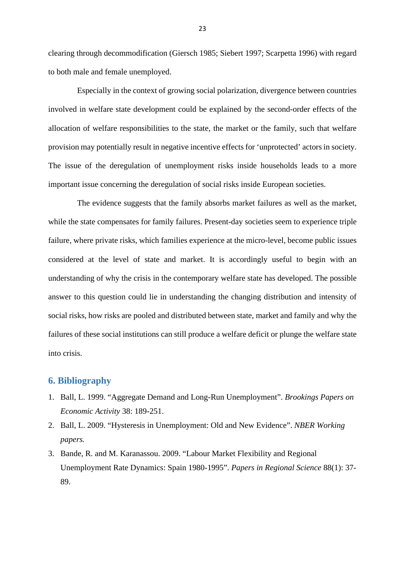clearing through decommodification (Giersch 1985; Siebert 1997; Scarpetta 1996) with regard to both male and female unemployed.

Especially in the context of growing social polarization, divergence between countries involved in welfare state development could be explained by the second-order effects of the allocation of welfare responsibilities to the state, the market or the family, such that welfare provision may potentially result in negative incentive effects for 'unprotected' actors in society. The issue of the deregulation of unemployment risks inside households leads to a more important issue concerning the deregulation of social risks inside European societies.

The evidence suggests that the family absorbs market failures as well as the market, while the state compensates for family failures. Present-day societies seem to experience triple failure, where private risks, which families experience at the micro-level, become public issues considered at the level of state and market. It is accordingly useful to begin with an understanding of why the crisis in the contemporary welfare state has developed. The possible answer to this question could lie in understanding the changing distribution and intensity of social risks, how risks are pooled and distributed between state, market and family and why the failures of these social institutions can still produce a welfare deficit or plunge the welfare state into crisis.

#### **6. Bibliography**

- 1. Ball, L. 1999. "Aggregate Demand and Long-Run Unemployment". *Brookings Papers on Economic Activity* 38: 189-251.
- 2. Ball, L. 2009. "Hysteresis in Unemployment: Old and New Evidence". *NBER Working papers.*
- 3. Bande, R. and M. Karanassou. 2009. "Labour Market Flexibility and Regional Unemployment Rate Dynamics: Spain 1980-1995". *Papers in Regional Science* 88(1): 37- 89.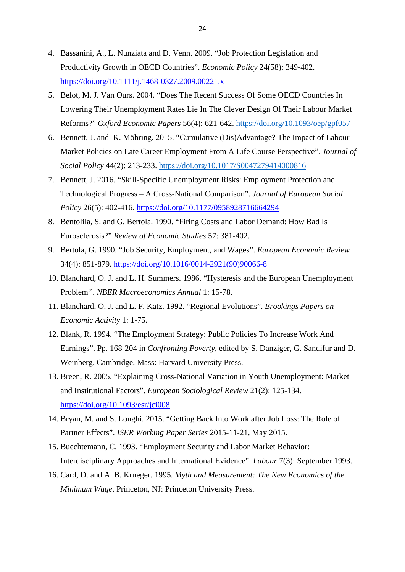- 4. Bassanini, A., L. Nunziata and D. Venn. 2009. "Job Protection Legislation and Productivity Growth in OECD Countries". *Economic Policy* 24(58): 349-402. <https://doi.org/10.1111/j.1468-0327.2009.00221.x>
- 5. Belot, M. J. Van Ours. 2004. "Does The Recent Success Of Some OECD Countries In Lowering Their Unemployment Rates Lie In The Clever Design Of Their Labour Market Reforms?" *Oxford Economic Papers* 56(4): 621-642.<https://doi.org/10.1093/oep/gpf057>
- 6. Bennett, J. and K. Möhring. 2015. "Cumulative (Dis)Advantage? The Impact of Labour Market Policies on Late Career Employment From A Life Course Perspective". *Journal of Social Policy* 44(2): 213-233.<https://doi.org/10.1017/S0047279414000816>
- 7. Bennett, J. 2016. "Skill-Specific Unemployment Risks: Employment Protection and Technological Progress – A Cross-National Comparison". *Journal of European Social Policy* 26(5): 402-416.<https://doi.org/10.1177/0958928716664294>
- 8. Bentolila, S. and G. Bertola. 1990. "Firing Costs and Labor Demand: How Bad Is Eurosclerosis?" *Review of Economic Studies* 57: 381-402.
- 9. Bertola, G. 1990. "Job Security, Employment, and Wages". *European Economic Review* 34(4): 851-879. [https://doi.org/10.1016/0014-2921\(90\)90066-8](https://doi.org/10.1016/0014-2921(90)90066-8)
- 10. Blanchard, O. J. and L. H. Summers. 1986. "Hysteresis and the European Unemployment Problem*"*. *NBER Macroeconomics Annual* 1: 15-78.
- 11. Blanchard, O. J. and L. F. Katz. 1992. "Regional Evolutions". *Brookings Papers on Economic Activity* 1: 1-75.
- 12. Blank, R. 1994. "The Employment Strategy: Public Policies To Increase Work And Earnings". Pp. 168-204 in *Confronting Poverty*, edited by S. Danziger, G. Sandifur and D. Weinberg. Cambridge, Mass: Harvard University Press.
- 13. Breen, R. 2005. "Explaining Cross-National Variation in Youth Unemployment: Market and Institutional Factors". *European Sociological Review* 21(2): 125-134. <https://doi.org/10.1093/esr/jci008>
- 14. Bryan, M. and S. Longhi. 2015. "Getting Back Into Work after Job Loss: The Role of Partner Effects". *ISER Working Paper Series* 2015-11-21, May 2015.
- 15. Buechtemann, C. 1993. "Employment Security and Labor Market Behavior: Interdisciplinary Approaches and International Evidence". *Labour* 7(3): September 1993.
- 16. Card, D. and A. B. Krueger. 1995. *Myth and Measurement: The New Economics of the Minimum Wage*. Princeton, NJ: Princeton University Press.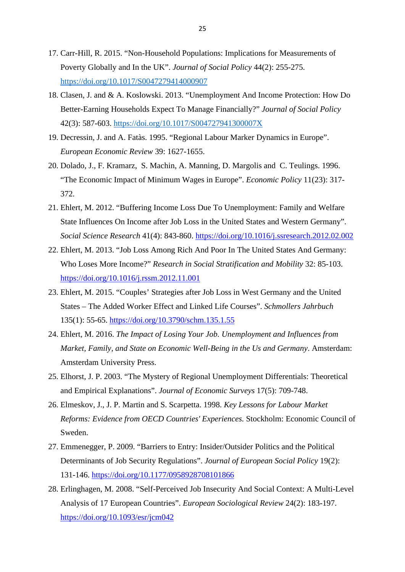- 17. Carr-Hill, R. 2015. "Non-Household Populations: Implications for Measurements of Poverty Globally and In the UK". *Journal of Social Policy* 44(2): 255-275. <https://doi.org/10.1017/S0047279414000907>
- 18. Clasen, J. and & A. Koslowski. 2013. "Unemployment And Income Protection: How Do Better-Earning Households Expect To Manage Financially?" *Journal of Social Policy* 42(3): 587-603.<https://doi.org/10.1017/S004727941300007X>
- 19. Decressin, J. and A. Fatàs. 1995. "Regional Labour Marker Dynamics in Europe". *European Economic Review* 39: 1627-1655.
- 20. Dolado, J., F. Kramarz, S. Machin, A. Manning, D. Margolis and C. Teulings. 1996. "The Economic Impact of Minimum Wages in Europe". *Economic Policy* 11(23): 317- 372.
- 21. Ehlert, M. 2012. "Buffering Income Loss Due To Unemployment: Family and Welfare State Influences On Income after Job Loss in the United States and Western Germany". *Social Science Research* 41(4): 843-860.<https://doi.org/10.1016/j.ssresearch.2012.02.002>
- 22. Ehlert, M. 2013. "Job Loss Among Rich And Poor In The United States And Germany: Who Loses More Income?" *Research in Social Stratification and Mobility* 32: 85-103. <https://doi.org/10.1016/j.rssm.2012.11.001>
- 23. Ehlert, M. 2015. "Couples' Strategies after Job Loss in West Germany and the United States – The Added Worker Effect and Linked Life Courses". *Schmollers Jahrbuch* 135(1): 55-65.<https://doi.org/10.3790/schm.135.1.55>
- 24. Ehlert, M. 2016. *The Impact of Losing Your Job. Unemployment and Influences from Market, Family, and State on Economic Well-Being in the Us and Germany*. Amsterdam: Amsterdam University Press.
- 25. Elhorst, J. P. 2003. "The Mystery of Regional Unemployment Differentials: Theoretical and Empirical Explanations". *Journal of Economic Surveys* 17(5): 709-748.
- 26. Elmeskov, J., J. P. Martin and S. Scarpetta. 1998. *Key Lessons for Labour Market Reforms: Evidence from OECD Countries' Experiences.* Stockholm: Economic Council of Sweden.
- 27. Emmenegger, P. 2009. "Barriers to Entry: Insider/Outsider Politics and the Political Determinants of Job Security Regulations". *Journal of European Social Policy* 19(2): 131-146.<https://doi.org/10.1177/0958928708101866>
- 28. Erlinghagen, M. 2008. "Self-Perceived Job Insecurity And Social Context: A Multi-Level Analysis of 17 European Countries". *European Sociological Review* 24(2): 183-197. <https://doi.org/10.1093/esr/jcm042>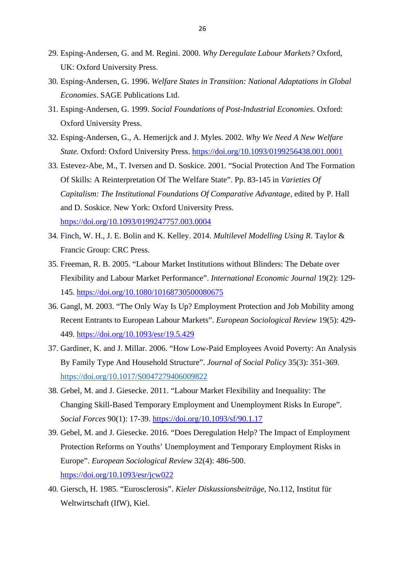- 29. Esping-Andersen, G. and M. Regini. 2000. *Why Deregulate Labour Markets?* Oxford, UK: Oxford University Press.
- 30. Esping-Andersen, G. 1996. *Welfare States in Transition: National Adaptations in Global Economies*. SAGE Publications Ltd.
- 31. Esping-Andersen, G. 1999. *Social Foundations of Post-Industrial Economies*. Oxford: Oxford University Press.
- 32. Esping-Andersen, G., A. Hemerijck and J. Myles. 2002. *Why We Need A New Welfare State.* Oxford: Oxford University Press.<https://doi.org/10.1093/0199256438.001.0001>
- 33. Estevez-Abe, M., T. Iversen and D. Soskice. 2001. "Social Protection And The Formation Of Skills: A Reinterpretation Of The Welfare State". Pp. 83-145 in *Varieties Of Capitalism: The Institutional Foundations Of Comparative Advantage, edited by P. Hall* and D. Soskice. New York: Oxford University Press. <https://doi.org/10.1093/0199247757.003.0004>
- 34. Finch, W. H., J. E. Bolin and K. Kelley. 2014. *Multilevel Modelling Using R*. Taylor & Francic Group: CRC Press.
- 35. Freeman, R. B. 2005. "Labour Market Institutions without Blinders: The Debate over Flexibility and Labour Market Performance". *International Economic Journal* 19(2): 129- 145.<https://doi.org/10.1080/10168730500080675>
- 36. Gangl, M. 2003. "The Only Way Is Up? Employment Protection and Job Mobility among Recent Entrants to European Labour Markets". *European Sociological Review* 19(5): 429- 449.<https://doi.org/10.1093/esr/19.5.429>
- 37. Gardiner, K. and J. Millar. 2006. "How Low-Paid Employees Avoid Poverty: An Analysis By Family Type And Household Structure". *Journal of Social Policy* 35(3): 351-369. <https://doi.org/10.1017/S0047279406009822>
- 38. Gebel, M. and J. Giesecke. 2011. "Labour Market Flexibility and Inequality: The Changing Skill-Based Temporary Employment and Unemployment Risks In Europe". *Social Forces* 90(1): 17-39.<https://doi.org/10.1093/sf/90.1.17>
- 39. Gebel, M. and J. Giesecke. 2016. "Does Deregulation Help? The Impact of Employment Protection Reforms on Youths' Unemployment and Temporary Employment Risks in Europe". *European Sociological Review* 32(4): 486-500. <https://doi.org/10.1093/esr/jcw022>
- 40. Giersch, H. 1985. "Eurosclerosis". *Kieler Diskussionsbeiträge*, No.112, Institut für Weltwirtschaft (IfW), Kiel.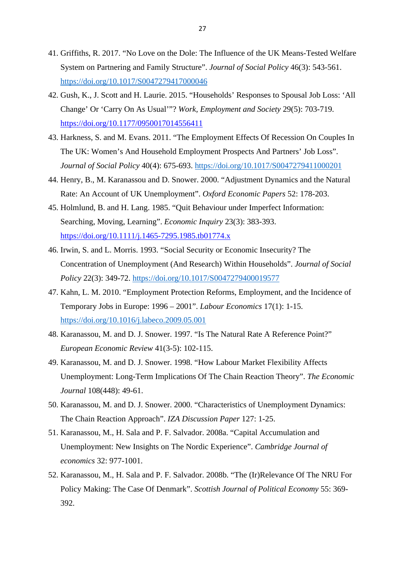- 41. Griffiths, R. 2017. "No Love on the Dole: The Influence of the UK Means-Tested Welfare System on Partnering and Family Structure". *Journal of Social Policy* 46(3): 543-561. <https://doi.org/10.1017/S0047279417000046>
- 42. Gush, K., J. Scott and H. Laurie. 2015. "Households' Responses to Spousal Job Loss: 'All Change' Or 'Carry On As Usual'"? *Work, Employment and Society* 29(5): 703-719. <https://doi.org/10.1177/0950017014556411>
- 43. Harkness, S. and M. Evans. 2011. "The Employment Effects Of Recession On Couples In The UK: Women's And Household Employment Prospects And Partners' Job Loss". *Journal of Social Policy* 40(4): 675-693.<https://doi.org/10.1017/S0047279411000201>
- 44. Henry, B., M. Karanassou and D. Snower. 2000. "Adjustment Dynamics and the Natural Rate: An Account of UK Unemployment". *Oxford Economic Papers* 52: 178-203.
- 45. Holmlund, B. and H. Lang. 1985. "Quit Behaviour under Imperfect Information: Searching, Moving, Learning". *Economic Inquiry* 23(3): 383-393. <https://doi.org/10.1111/j.1465-7295.1985.tb01774.x>
- 46. Irwin, S. and L. Morris. 1993. "Social Security or Economic Insecurity? The Concentration of Unemployment (And Research) Within Households". *Journal of Social Policy* 22(3): 349-72.<https://doi.org/10.1017/S0047279400019577>
- 47. Kahn, L. M. 2010. "Employment Protection Reforms, Employment, and the Incidence of Temporary Jobs in Europe: 1996 – 2001". *Labour Economics* 17(1): 1-15. <https://doi.org/10.1016/j.labeco.2009.05.001>
- 48. Karanassou, M. and D. J. Snower. 1997. "Is The Natural Rate A Reference Point?" *European Economic Review* 41(3-5): 102-115.
- 49. Karanassou, M. and D. J. Snower. 1998. "How Labour Market Flexibility Affects Unemployment: Long-Term Implications Of The Chain Reaction Theory". *The Economic Journal* 108(448): 49-61.
- 50. Karanassou, M. and D. J. Snower. 2000. "Characteristics of Unemployment Dynamics: The Chain Reaction Approach". *IZA Discussion Paper* 127: 1-25.
- 51. Karanassou, M., H. Sala and P. F. Salvador. 2008a. "Capital Accumulation and Unemployment: New Insights on The Nordic Experience". *Cambridge Journal of economics* 32: 977-1001.
- 52. Karanassou, M., H. Sala and P. F. Salvador. 2008b. "The (Ir)Relevance Of The NRU For Policy Making: The Case Of Denmark". *Scottish Journal of Political Economy* 55: 369- 392.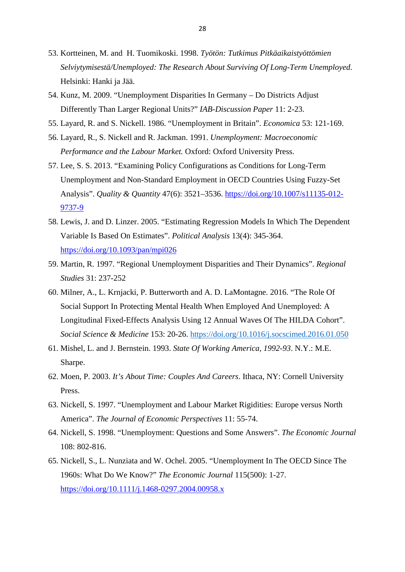- 53. Kortteinen, M. and H. Tuomikoski. 1998. *Työtön: Tutkimus Pitkäaikaistyöttömien Selviytymisestä/Unemployed: The Research About Surviving Of Long-Term Unemployed*. Helsinki: Hanki ja Jää.
- 54. Kunz, M. 2009. "Unemployment Disparities In Germany Do Districts Adjust Differently Than Larger Regional Units?" *IAB-Discussion Paper* 11: 2-23.
- 55. Layard, R. and S. Nickell. 1986. "Unemployment in Britain". *Economica* 53: 121-169.
- 56. Layard, R., S. Nickell and R. Jackman. 1991. *Unemployment: Macroeconomic Performance and the Labour Market.* Oxford: Oxford University Press.
- 57. Lee, S. S. 2013. "Examining Policy Configurations as Conditions for Long-Term Unemployment and Non-Standard Employment in OECD Countries Using Fuzzy-Set Analysis". *Quality & Quantity* 47(6): 3521–3536. [https://doi.org/10.1007/s11135-012-](https://doi.org/10.1007/s11135-012-9737-9) [9737-9](https://doi.org/10.1007/s11135-012-9737-9)
- 58. Lewis, J. and D. Linzer. 2005. "Estimating Regression Models In Which The Dependent Variable Is Based On Estimates". *Political Analysis* 13(4): 345-364. <https://doi.org/10.1093/pan/mpi026>
- 59. Martin, R. 1997. "Regional Unemployment Disparities and Their Dynamics". *Regional Studies* 31: 237-252
- 60. Milner, A., L. Krnjacki, P. Butterworth and A. D. LaMontagne. 2016. "The Role Of Social Support In Protecting Mental Health When Employed And Unemployed: A Longitudinal Fixed-Effects Analysis Using 12 Annual Waves Of The HILDA Cohort". *Social Science & Medicine* 153: 20-26.<https://doi.org/10.1016/j.socscimed.2016.01.050>
- 61. Mishel, L. and J. Bernstein. 1993. *State Of Working America, 1992-93*. N.Y.: M.E. Sharpe.
- 62. Moen, P. 2003. *It's About Time: Couples And Careers*. Ithaca, NY: Cornell University Press.
- 63. Nickell, S. 1997. "Unemployment and Labour Market Rigidities: Europe versus North America". *The Journal of Economic Perspectives* 11: 55-74.
- 64. Nickell, S. 1998. "Unemployment: Questions and Some Answers". *The Economic Journal* 108: 802-816.
- 65. Nickell, S., L. Nunziata and W. Ochel. 2005. "Unemployment In The OECD Since The 1960s: What Do We Know?" *The Economic Journal* 115(500): 1-27. <https://doi.org/10.1111/j.1468-0297.2004.00958.x>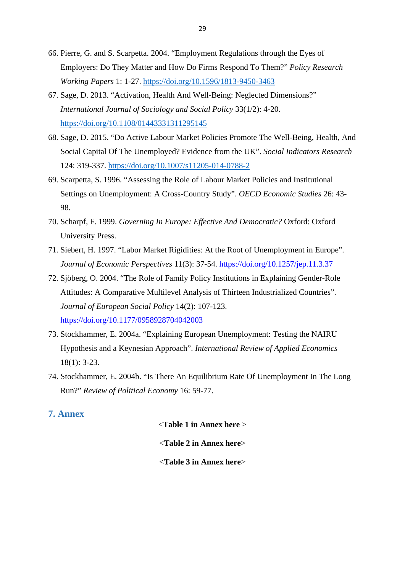- 66. Pierre, G. and S. Scarpetta. 2004. "Employment Regulations through the Eyes of Employers: Do They Matter and How Do Firms Respond To Them?" *Policy Research Working Papers* 1: 1-27.<https://doi.org/10.1596/1813-9450-3463>
- 67. Sage, D. 2013. "Activation, Health And Well-Being: Neglected Dimensions?" *International Journal of Sociology and Social Policy* 33(1/2): 4-20. <https://doi.org/10.1108/01443331311295145>
- 68. Sage, D. 2015. "Do Active Labour Market Policies Promote The Well-Being, Health, And Social Capital Of The Unemployed? Evidence from the UK". *Social Indicators Research* 124: 319-337.<https://doi.org/10.1007/s11205-014-0788-2>
- 69. Scarpetta, S. 1996. "Assessing the Role of Labour Market Policies and Institutional Settings on Unemployment: A Cross-Country Study". *OECD Economic Studies* 26: 43- 98.
- 70. Scharpf, F. 1999. *Governing In Europe: Effective And Democratic?* Oxford: Oxford University Press.
- 71. Siebert, H. 1997. "Labor Market Rigidities: At the Root of Unemployment in Europe". *Journal of Economic Perspectives* 11(3): 37-54.<https://doi.org/10.1257/jep.11.3.37>
- 72. Sjöberg, O. 2004. "The Role of Family Policy Institutions in Explaining Gender-Role Attitudes: A Comparative Multilevel Analysis of Thirteen Industrialized Countries". *Journal of European Social Policy* 14(2): 107-123. <https://doi.org/10.1177/0958928704042003>
- 73. Stockhammer, E. 2004a. "Explaining European Unemployment: Testing the NAIRU Hypothesis and a Keynesian Approach". *International Review of Applied Economics* 18(1): 3-23.
- 74. Stockhammer, E. 2004b. "Is There An Equilibrium Rate Of Unemployment In The Long Run?" *Review of Political Economy* 16: 59-77.

## **7. Annex**

<**Table 1 in Annex here** ˃

<**Table 2 in Annex here**˃

<**Table 3 in Annex here**˃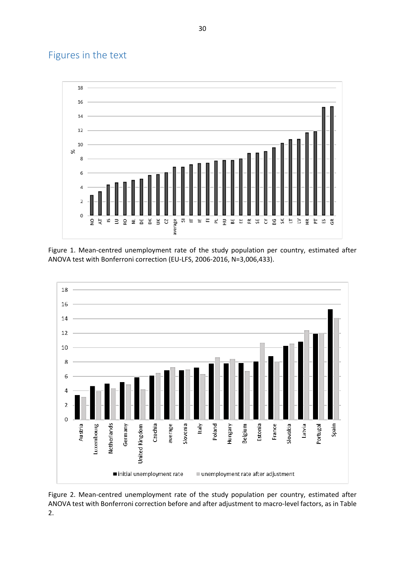## Figures in the text



Figure 1. Mean-centred unemployment rate of the study population per country, estimated after ANOVA test with Bonferroni correction (EU-LFS, 2006-2016, N=3,006,433).



Figure 2. Mean-centred unemployment rate of the study population per country, estimated after ANOVA test with Bonferroni correction before and after adjustment to macro-level factors, as in Table 2.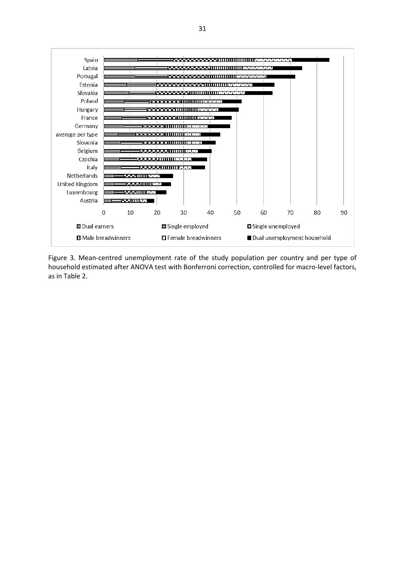

Figure 3. Mean-centred unemployment rate of the study population per country and per type of household estimated after ANOVA test with Bonferroni correction, controlled for macro-level factors, as in Table 2.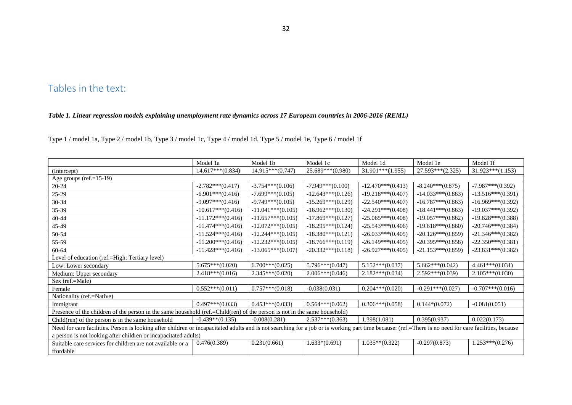## Tables in the text:

#### *Table 1. Linear regression models explaining unemployment rate dynamics across 17 European countries in 2006-2016 (REML)*

Type 1 / model 1a, Type 2 / model 1b, Type 3 / model 1c, Type 4 / model 1d, Type 5 / model 1e, Type 6 / model 1f

|                                                                                                                                                                                                        | Model 1a             | Model 1b            | Model 1c            | Model 1d             | Model 1e             | Model 1f             |
|--------------------------------------------------------------------------------------------------------------------------------------------------------------------------------------------------------|----------------------|---------------------|---------------------|----------------------|----------------------|----------------------|
| (Intercept)                                                                                                                                                                                            | $14.617***(0.834)$   | 14.915***(0.747)    | 25.689***(0.980)    | $31.901***(1.955)$   | 27.593***(2.325)     | $31.923***(1.153)$   |
| Age groups (ref.= $15-19$ )                                                                                                                                                                            |                      |                     |                     |                      |                      |                      |
| $20 - 24$                                                                                                                                                                                              | $-2.782***(0.417)$   | $-3.754***(0.106)$  | $-7.949***(0.100)$  | $-12.470***(0.413)$  | $-8.240***(0.875)$   | $-7.987***(0.392)$   |
| 25-29                                                                                                                                                                                                  | $-6.901***(0.416)$   | $-7.699***(0.105)$  | $-12.643***(0.126)$ | $-19.218***$ (0.407) | $-14.033***(0.863)$  | $-13.516***(0.391)$  |
| $30 - 34$                                                                                                                                                                                              | $-9.097***(0.416)$   | $-9.749***(0.105)$  | $-15.269***(0.129)$ | $-22.540***(0.407)$  | $-16.787***$ (0.863) | $-16.969***(0.392)$  |
| 35-39                                                                                                                                                                                                  | $-10.617***(0.416)$  | $-11.041***(0.105)$ | $-16.962***(0.130)$ | $-24.291***(0.408)$  | $-18.441***$ (0.863) | $-19.037***(0.392)$  |
| $40 - 44$                                                                                                                                                                                              | $-11.172***(0.416)$  | $-11.657***(0.105)$ | $-17.869***(0.127)$ | $-25.065***(0.408)$  | $-19.057***$ (0.862) | $-19.828***$ (0.388) |
| 45-49                                                                                                                                                                                                  | $-11.474***$ (0.416) | $-12.072***(0.105)$ | $-18.295***(0.124)$ | $-25.543***(0.406)$  | $-19.618***$ (0.860) | $-20.746***$ (0.384) |
| 50-54                                                                                                                                                                                                  | $-11.524***(0.416)$  | $-12.244***(0.105)$ | $-18.380***(0.121)$ | $-26.033***(0.405)$  | $-20.126***(0.859)$  | $-21.346***(0.382)$  |
| 55-59                                                                                                                                                                                                  | $-11.200***(0.416)$  | $-12.232***(0.105)$ | $-18.766***(0.119)$ | $-26.149***(0.405)$  | $-20.395***(0.858)$  | $-22.350***(0.381)$  |
| 60-64                                                                                                                                                                                                  | $-11.428***(0.416)$  | $-13.065***(0.107)$ | $-20.332***(0.118)$ | $-26.927***(0.405)$  | $-21.153***(0.859)$  | $-23.831***(0.382)$  |
| Level of education (ref.=High: Tertiary level)                                                                                                                                                         |                      |                     |                     |                      |                      |                      |
| Low: Lower secondary                                                                                                                                                                                   | $5.675***(0.020)$    | $6.700***(0.025)$   | $5.796***(0.047)$   | $5.152***(0.037)$    | $5.662***(0.042)$    | $4.461***(0.031)$    |
| Medium: Upper secondary                                                                                                                                                                                | $2.418***(0.016)$    | $2.345***(0.020)$   | $2.006***(0.046)$   | $2.182***(0.034)$    | $2.592***(0.039)$    | $2.105***(0.030)$    |
| Sex (ref.=Male)                                                                                                                                                                                        |                      |                     |                     |                      |                      |                      |
| Female                                                                                                                                                                                                 | $0.552***(0.011)$    | $0.757***(0.018)$   | $-0.038(0.031)$     | $0.204***(0.020)$    | $-0.291***(0.027)$   | $-0.707***(0.016)$   |
| Nationality (ref.=Native)                                                                                                                                                                              |                      |                     |                     |                      |                      |                      |
| Immigrant                                                                                                                                                                                              | $0.497***(0.033)$    | $0.453***(0.033)$   | $0.564***(0.062)$   | $0.306***(0.058)$    | $0.144*(0.072)$      | $-0.081(0.051)$      |
| Presence of the children of the person in the same household (ref.=Child(ren) of the person is not in the same household)                                                                              |                      |                     |                     |                      |                      |                      |
| Child(ren) of the person is in the same household                                                                                                                                                      | $-0.439**$ (0.135)   | $-0.008(0.281)$     | $2.537***(0.363)$   | 1.398(1.081)         | 0.395(0.937)         | 0.022(0.173)         |
| Need for care facilities. Person is looking after children or incapacitated adults and is not searching for a job or is working part time because: (ref.=There is no need for care facilities, because |                      |                     |                     |                      |                      |                      |
| a person is not looking after children or incapacitated adults)                                                                                                                                        |                      |                     |                     |                      |                      |                      |
| Suitable care services for children are not available or a                                                                                                                                             | 0.476(0.389)         | 0.231(0.661)        | $1.633*(0.691)$     | $1.035**$ (0.322)    | $-0.297(0.873)$      | $1.253***(0.276)$    |
| ffordable                                                                                                                                                                                              |                      |                     |                     |                      |                      |                      |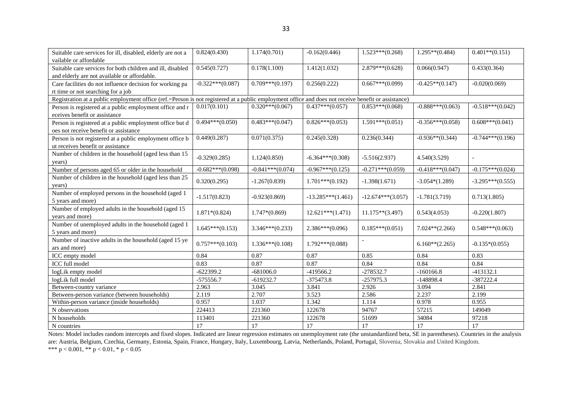| Suitable care services for ill, disabled, elderly are not a                                                                                         | 0.824(0.430)       | 1.174(0.701)       | $-0.162(0.446)$     | $1.523***(0.268)$    | $1.295**$ (0.484)  | $0.401**$ (0.151)  |
|-----------------------------------------------------------------------------------------------------------------------------------------------------|--------------------|--------------------|---------------------|----------------------|--------------------|--------------------|
| vailable or affordable                                                                                                                              |                    |                    |                     |                      |                    |                    |
| Suitable care services for both children and ill, disabled                                                                                          | 0.545(0.727)       | 0.178(1.100)       | 1.412(1.032)        | $2.879***(0.628)$    | 0.066(0.947)       | 0.433(0.364)       |
| and elderly are not available or affordable.                                                                                                        |                    |                    |                     |                      |                    |                    |
| Care facilities do not influence decision for working pa                                                                                            | $-0.322***(0.087)$ | $0.709***(0.197)$  | 0.256(0.222)        | $0.667***(0.099)$    | $-0.425**$ (0.147) | $-0.020(0.069)$    |
| rt time or not searching for a job                                                                                                                  |                    |                    |                     |                      |                    |                    |
| Registration at a public employment office (ref.=Person is not registered at a public employment office and does not receive benefit or assistance) |                    |                    |                     |                      |                    |                    |
| Person is registered at a public employment office and r                                                                                            | 0.017(0.101)       | $0.320***(0.067)$  | $0.437***(0.057)$   | $0.853***(0.068)$    | $-0.888***(0.063)$ | $-0.518***(0.042)$ |
| eceives benefit or assistance                                                                                                                       |                    |                    |                     |                      |                    |                    |
| Person is registered at a public employment office but d                                                                                            | $0.494***(0.050)$  | $0.483***(0.047)$  | $0.826***(0.053)$   | $1.591***(0.051)$    | $-0.356***(0.058)$ | $0.608***(0.041)$  |
| oes not receive benefit or assistance                                                                                                               |                    |                    |                     |                      |                    |                    |
| Person is not registered at a public employment office b                                                                                            | 0.449(0.287)       | 0.071(0.375)       | 0.245(0.328)        | 0.236(0.344)         | $-0.936**$ (0.344) | $-0.744***(0.196)$ |
| ut receives benefit or assistance                                                                                                                   |                    |                    |                     |                      |                    |                    |
| Number of children in the household (aged less than 15                                                                                              | $-0.329(0.285)$    | 1.124(0.850)       | $-6.364***(0.308)$  | $-5.516(2.937)$      | 4.540(3.529)       |                    |
| years)                                                                                                                                              |                    |                    |                     |                      |                    |                    |
| Number of persons aged 65 or older in the household                                                                                                 | $-0.682***(0.098)$ | $-0.841***(0.074)$ | $-0.967***(0.125)$  | $-0.271***(0.059)$   | $-0.418***(0.047)$ | $-0.175***(0.024)$ |
| Number of children in the household (aged less than 25                                                                                              | 0.320(0.295)       | $-1.267(0.839)$    | $1.701***(0.192)$   | $-1.398(1.671)$      | $-3.054*(1.289)$   | $-3.295***(0.555)$ |
| years)                                                                                                                                              |                    |                    |                     |                      |                    |                    |
| Number of employed persons in the household (aged 1                                                                                                 | $-1.517(0.823)$    | $-0.923(0.869)$    | $-13.285***(1.461)$ | $-12.674***$ (3.057) | $-1.781(3.719)$    | 0.713(1.805)       |
| 5 years and more)                                                                                                                                   |                    |                    |                     |                      |                    |                    |
| Number of employed adults in the household (aged 15                                                                                                 | $1.871*(0.824)$    | $1.747*(0.869)$    | $12.621***(1.471)$  | $11.175**$ (3.497)   | 0.543(4.053)       | $-0.220(1.807)$    |
| years and more)                                                                                                                                     |                    |                    |                     |                      |                    |                    |
| Number of unemployed adults in the household (aged 1                                                                                                | $1.645***(0.153)$  | $3.346***(0.233)$  | $2.386***(0.096)$   | $0.185***(0.051)$    | $7.024**$ (2.266)  | $0.548***(0.063)$  |
| 5 years and more)                                                                                                                                   |                    |                    |                     |                      |                    |                    |
| Number of inactive adults in the household (aged 15 ye                                                                                              | $0.757***(0.103)$  | $1.336***(0.108)$  | $1.792***(0.088)$   |                      | $6.160**$ (2.265)  | $-0.135*(0.055)$   |
| ars and more)                                                                                                                                       |                    |                    |                     |                      |                    |                    |
| ICC empty model                                                                                                                                     | 0.84               | 0.87               | 0.87                | 0.85                 | 0.84               | 0.83               |
| ICC full model                                                                                                                                      | 0.83               | 0.87               | 0.87                | 0.84                 | 0.84               | 0.84               |
| logLik empty model                                                                                                                                  | $-622399.2$        | $-681006.0$        | -419566.2           | $-278532.7$          | $-160166.8$        | $-413132.1$        |
| logLik full model                                                                                                                                   | $-575556.7$        | $-619232.7$        | $-375473.8$         | $-257975.3$          | $-148898.4$        | $-387222.4$        |
| Between-country variance                                                                                                                            | 2.963              | 3.045              | 3.841               | 2.926                | 3.094              | 2.841              |
| Between-person variance (between households)                                                                                                        | 2.119              | 2.707              | 3.523               | 2.586                | 2.237              | 2.199              |
| Within-person variance (inside households)                                                                                                          | 0.957              | 1.037              | 1.342               | 1.114                | 0.978              | 0.955              |
| N observations                                                                                                                                      | 224413             | 221360             | 122678              | 94767                | 57215              | 149049             |
| N households                                                                                                                                        | 113401             | 221360             | 122678              | 51699                | 34084              | 97218              |
| N countries                                                                                                                                         | 17                 | 17                 | 17                  | 17                   | 17                 | 17                 |

Notes: Model includes random intercepts and fixed slopes. Indicated are linear regression estimates on unemployment rate (the unstandardized beta, SE in parentheses). Countries in the analysis are: Austria, Belgium, Czechia, Germany, Estonia, Spain, France, Hungary, Italy, Luxembourg, Latvia, Netherlands, Poland, Portugal, Slovenia, Slovakia and United Kingdom. \*\*\* p < 0.001, \*\* p < 0.01, \* p < 0.05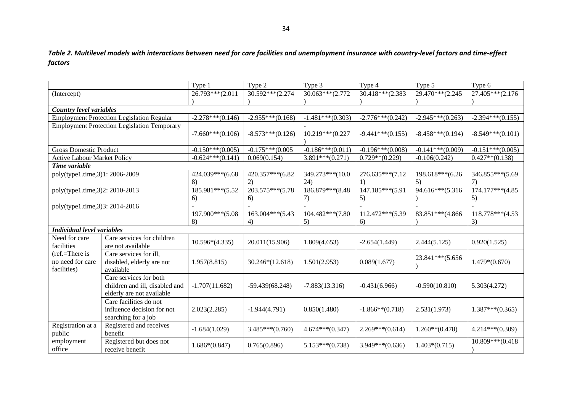*Table 2. Multilevel models with interactions between need for care facilities and unemployment insurance with country-level factors and time-effect factors* 

|                                    |                                                    | Type 1             | Type 2              | Type 3             | Type 4             | Type 5             | Type 6             |
|------------------------------------|----------------------------------------------------|--------------------|---------------------|--------------------|--------------------|--------------------|--------------------|
| (Intercept)                        |                                                    | 26.793***(2.011    | 30.592***(2.274)    | 30.063***(2.772)   | 30.418***(2.383)   | 29.470***(2.245)   | 27.405***(2.176)   |
|                                    |                                                    |                    |                     |                    |                    |                    |                    |
|                                    |                                                    |                    |                     |                    |                    |                    |                    |
| <b>Country level variables</b>     |                                                    |                    |                     |                    |                    |                    |                    |
|                                    | <b>Employment Protection Legislation Regular</b>   | $-2.278***(0.146)$ | $-2.955***(0.168)$  | $-1.481***(0.303)$ | $-2.776***(0.242)$ | $-2.945***(0.263)$ | $-2.394***(0.155)$ |
|                                    | <b>Employment Protection Legislation Temporary</b> |                    |                     |                    |                    |                    |                    |
|                                    |                                                    | $-7.660***(0.106)$ | $-8.573***(0.126)$  | 10.219***(0.227    | $-9.441***(0.155)$ | $-8.458***(0.194)$ | $-8.549***(0.101)$ |
|                                    |                                                    |                    |                     |                    |                    |                    |                    |
| <b>Gross Domestic Product</b>      |                                                    | $-0.150***(0.005)$ | $-0.175***$ (0.005) | $-0.186***(0.011)$ | $-0.196***(0.008)$ | $-0.141***(0.009)$ | $-0.151***(0.005)$ |
| <b>Active Labour Market Policy</b> |                                                    | $-0.624***(0.141)$ | 0.069(0.154)        | $3.891***(0.271)$  | $0.729**$ (0.229)  | $-0.106(0.242)$    | $0.427**$ (0.138)  |
| Time variable                      |                                                    |                    |                     |                    |                    |                    |                    |
| poly(type1.time,3)1: 2006-2009     |                                                    | 424.039***(6.68    | 420.357***(6.82     | 349.273***(10.0    | 276.635***(7.12    | 198.618***(6.26    | 346.855***(5.69    |
|                                    |                                                    | 8)                 | 2)                  | (24)               | 1)                 | 5)                 | 7)                 |
| poly(type1.time,3)2: 2010-2013     |                                                    | 185.981***(5.52    | 203.575***(5.78     | 186.879***(8.48    | 147.185***(5.91    | 94.616***(5.316    | 174.177***(4.85    |
|                                    |                                                    | 6)                 | 6)                  | 7)                 | 5)                 |                    | 5)                 |
| poly(type1.time,3)3: 2014-2016     |                                                    |                    |                     |                    |                    |                    |                    |
|                                    |                                                    | 197.900***(5.08    | 163.004***(5.43     | 104.482***(7.80    | 112.472***(5.39    | 83.851***(4.866)   | 118.778***(4.53    |
|                                    |                                                    | 8)                 | 4)                  | 5)                 | 6)                 |                    | 3)                 |
| <b>Individual level variables</b>  |                                                    |                    |                     |                    |                    |                    |                    |
| Need for care                      | Care services for children                         |                    |                     |                    |                    |                    |                    |
| facilities                         | are not available                                  | $10.596*(4.335)$   | 20.011(15.906)      | 1.809(4.653)       | $-2.654(1.449)$    | 2.444(5.125)       | 0.920(1.525)       |
| (ref.=There is                     | Care services for ill,                             |                    |                     |                    |                    |                    |                    |
| no need for care                   | disabled, elderly are not                          | 1.957(8.815)       | 30.246*(12.618)     | 1.501(2.953)       | 0.089(1.677)       | 23.841***(5.656    | $1.479*(0.670)$    |
| facilities)                        | available                                          |                    |                     |                    |                    |                    |                    |
|                                    | Care services for both                             |                    |                     |                    |                    |                    |                    |
|                                    | children and ill, disabled and                     | $-1.707(11.682)$   | $-59.439(68.248)$   | $-7.883(13.316)$   | $-0.431(6.966)$    | $-0.590(10.810)$   | 5.303(4.272)       |
|                                    | elderly are not available                          |                    |                     |                    |                    |                    |                    |
|                                    | Care facilities do not                             |                    |                     |                    |                    |                    |                    |
|                                    |                                                    |                    |                     |                    |                    |                    |                    |
|                                    | influence decision for not                         | 2.023(2.285)       | $-1.944(4.791)$     | 0.850(1.480)       | $-1.866**$ (0.718) | 2.531(1.973)       | $1.387***(0.365)$  |
|                                    | searching for a job                                |                    |                     |                    |                    |                    |                    |
| Registration at a                  | Registered and receives                            | $-1.684(1.029)$    | $3.485***(0.760)$   | $4.674***(0.347)$  | $2.269***(0.614)$  | $1.260**$ (0.478)  | $4.214***$ (0.309) |
| public                             | benefit                                            |                    |                     |                    |                    |                    |                    |
| employment                         | Registered but does not                            | $1.686*(0.847)$    | 0.765(0.896)        | $5.153***(0.738)$  | $3.949***(0.636)$  | $1.403*(0.715)$    | 10.809***(0.418    |
| office                             | receive benefit                                    |                    |                     |                    |                    |                    |                    |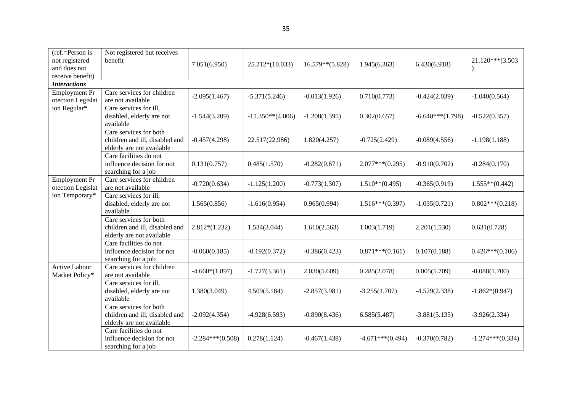| $(ref = Person is$<br>not registered<br>and does not<br>receive benefit) | Not registered but receives<br>benefit                                                | 7.051(6.950)       | $25.212*(10.033)$   | $16.579**$ (5.828) | 1.945(6.363)       | 6.430(6.918)       | 21.120***(3.503    |
|--------------------------------------------------------------------------|---------------------------------------------------------------------------------------|--------------------|---------------------|--------------------|--------------------|--------------------|--------------------|
| <b>Interactions</b>                                                      |                                                                                       |                    |                     |                    |                    |                    |                    |
| <b>Employment Pr</b><br>otection Legislat                                | Care services for children<br>are not available                                       | $-2.095(1.467)$    | $-5.371(5.246)$     | $-0.013(1.926)$    | 0.710(0.773)       | $-0.424(2.039)$    | $-1.040(0.564)$    |
| ion Regular*                                                             | Care services for ill,<br>disabled, elderly are not<br>available                      | $-1.544(3.209)$    | $-11.350**$ (4.006) | $-1.208(1.395)$    | 0.302(0.657)       | $-6.640***(1.798)$ | $-0.522(0.357)$    |
|                                                                          | Care services for both<br>children and ill, disabled and<br>elderly are not available | $-0.457(4.298)$    | 22.517(22.986)      | 1.820(4.257)       | $-0.725(2.429)$    | $-0.089(4.556)$    | $-1.198(1.188)$    |
|                                                                          | Care facilities do not<br>influence decision for not<br>searching for a job           | 0.131(0.757)       | 0.485(1.570)        | $-0.282(0.671)$    | $2.077***(0.295)$  | $-0.910(0.702)$    | $-0.284(0.170)$    |
| <b>Employment Pr</b><br>otection Legislat<br>ion Temporary*              | Care services for children<br>are not available                                       | $-0.720(0.634)$    | $-1.125(1.200)$     | $-0.773(1.307)$    | $1.510**$ (0.495)  | $-0.365(0.919)$    | $1.555**(0.442)$   |
|                                                                          | Care services for ill,<br>disabled, elderly are not<br>available                      | 1.565(0.856)       | $-1.616(0.954)$     | 0.965(0.994)       | $1.516***(0.397)$  | $-1.035(0.721)$    | $0.802***(0.218)$  |
|                                                                          | Care services for both<br>children and ill, disabled and<br>elderly are not available | $2.812*(1.232)$    | 1.534(3.044)        | 1.610(2.563)       | 1.003(1.719)       | 2.201(1.530)       | 0.631(0.728)       |
|                                                                          | Care facilities do not<br>influence decision for not<br>searching for a job           | $-0.060(0.185)$    | $-0.192(0.372)$     | $-0.386(0.423)$    | $0.871***(0.161)$  | 0.107(0.188)       | $0.426***(0.106)$  |
| <b>Active Labour</b><br>Market Policy*                                   | Care services for children<br>are not available                                       | $-4.660*(1.897)$   | $-1.727(3.361)$     | 2.030(5.609)       | 0.285(2.078)       | 0.005(5.709)       | $-0.088(1.700)$    |
|                                                                          | Care services for ill,<br>disabled, elderly are not<br>available                      | 1.380(3.049)       | 4.509(5.184)        | $-2.857(3.981)$    | $-3.255(1.707)$    | $-4.529(2.338)$    | $-1.862*(0.947)$   |
|                                                                          | Care services for both<br>children and ill, disabled and<br>elderly are not available | $-2.092(4.354)$    | $-4.928(6.593)$     | $-0.890(8.436)$    | 6.585(5.487)       | $-3.881(5.135)$    | $-3.926(2.334)$    |
|                                                                          | Care facilities do not<br>influence decision for not<br>searching for a job           | $-2.284***(0.508)$ | 0.278(1.124)        | $-0.467(1.438)$    | $-4.671***(0.494)$ | $-0.370(0.782)$    | $-1.274***(0.334)$ |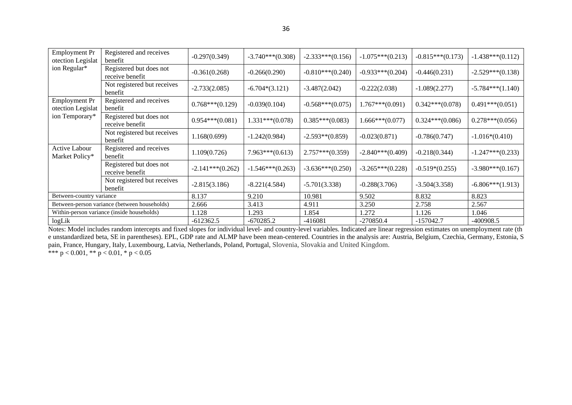| <b>Employment Pr</b><br>otection Legislat | Registered and receives<br>benefit           | $-0.297(0.349)$    | $-3.740***(0.308)$ | $-2.333***(0.156)$ | $-1.075***(0.213)$ | $-0.815***(0.173)$ | $-1.438***(0.112)$ |
|-------------------------------------------|----------------------------------------------|--------------------|--------------------|--------------------|--------------------|--------------------|--------------------|
| ion Regular*                              | Registered but does not<br>receive benefit   | $-0.361(0.268)$    | $-0.266(0.290)$    | $-0.810***(0.240)$ | $-0.933***(0.204)$ | $-0.446(0.231)$    | $-2.529***(0.138)$ |
|                                           | Not registered but receives<br>benefit       | $-2.733(2.085)$    | $-6.704*(3.121)$   | $-3.487(2.042)$    | $-0.222(2.038)$    | $-1.089(2.277)$    | $-5.784***(1.140)$ |
| <b>Employment Pr</b><br>otection Legislat | Registered and receives<br>benefit           | $0.768***(0.129)$  | $-0.039(0.104)$    | $-0.568***(0.075)$ | $1.767***(0.091)$  | $0.342***(0.078)$  | $0.491***(0.051)$  |
| ion Temporary*                            | Registered but does not<br>receive benefit   | $0.954***(0.081)$  | $1.331***(0.078)$  | $0.385***(0.083)$  | $1.666***(0.077)$  | $0.324***(0.086)$  | $0.278***(0.056)$  |
|                                           | Not registered but receives<br>benefit       | 1.168(0.699)       | $-1.242(0.984)$    | $-2.593**$ (0.859) | $-0.023(0.871)$    | $-0.786(0.747)$    | $-1.016*(0.410)$   |
| <b>Active Labour</b><br>Market Policy*    | Registered and receives<br>benefit           | 1.109(0.726)       | $7.963***(0.613)$  | $2.757***(0.359)$  | $-2.840***(0.409)$ | $-0.218(0.344)$    | $-1.247***(0.233)$ |
|                                           | Registered but does not<br>receive benefit   | $-2.141***(0.262)$ | $-1.546***(0.263)$ | $-3.636***(0.250)$ | $-3.265***(0.228)$ | $-0.519*(0.255)$   | $-3.980***(0.167)$ |
|                                           | Not registered but receives<br>benefit       | $-2.815(3.186)$    | $-8.221(4.584)$    | $-5.701(3.338)$    | $-0.288(3.706)$    | $-3.504(3.358)$    | $-6.806***(1.913)$ |
| Between-country variance                  |                                              | 8.137              | 9.210              | 10.981             | 9.502              | 8.832              | 8.823              |
|                                           | Between-person variance (between households) | 2.666              | 3.413              | 4.911              | 3.250              | 2.758              | 2.567              |
|                                           | Within-person variance (inside households)   | 1.128              | 1.293              | 1.854              | 1.272              | 1.126              | 1.046              |
| logLik                                    |                                              | $-612362.5$        | $-670285.2$        | $-416081$          | $-270850.4$        | $-157042.7$        | $-400908.5$        |

Notes: Model includes random intercepts and fixed slopes for individual level- and country-level variables. Indicated are linear regression estimates on unemployment rate (th e unstandardized beta, SE in parentheses). EPL, GDP rate and ALMP have been mean-centered. Countries in the analysis are: Austria, Belgium, Czechia, Germany, Estonia, S pain, France, Hungary, Italy, Luxembourg, Latvia, Netherlands, Poland, Portugal, Slovenia, Slovakia and United Kingdom. \*\*\* p < 0.001, \*\* p < 0.01, \* p < 0.05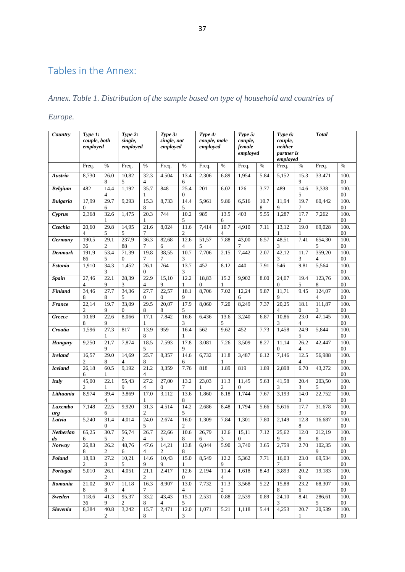# Tables in the Annex:

## *Annex. Table 1. Distribution of the sample based on type of household and countries of*

## *Europe.*

| Country         | Type 1:<br>couple, both<br>employed |                       | Type $2$ :<br>single,<br>employed |                          | Type 3:<br>single, not<br>employed |                          | Type 4:<br>couple, male<br>employed |           | Type 5:<br>couple,<br>female<br>employed |           | Type 6:<br>couple,<br>neither<br><i>partner is</i><br>employed |                          | <b>Total</b>        |                 |
|-----------------|-------------------------------------|-----------------------|-----------------------------------|--------------------------|------------------------------------|--------------------------|-------------------------------------|-----------|------------------------------------------|-----------|----------------------------------------------------------------|--------------------------|---------------------|-----------------|
|                 | Freq.                               | $\%$                  | Freq.                             | $\%$                     | Freq.                              | $\%$                     | Freq.                               | $\%$      | Freq.                                    | $\%$      | Freq.                                                          | %                        | Freq.               | $\%$            |
| Austria         | 8,730                               | 26.0<br>8             | 10,82<br>5                        | 32.3<br>4                | 4,504                              | 13.4<br>6                | 2,306                               | 6.89      | 1,954                                    | 5.84      | 5,152                                                          | 15.3<br>9                | 33,471              | 100.<br>00      |
| <b>Belgium</b>  | 482                                 | 14.4<br>4             | 1,192                             | 35.7                     | 848                                | 25.4<br>$\mathbf{0}$     | 201                                 | 6.02      | 126                                      | 3.77      | 489                                                            | 14.6<br>5                | 3,338               | 100.<br>$00\,$  |
| <b>Bulgaria</b> | 17.99<br>0                          | 29.7<br>6             | 9,293                             | 15.3<br>8                | 8,733                              | 14.4<br>5                | 5,961                               | 9.86      | 6,516                                    | 10.7<br>8 | 11,94<br>9                                                     | 19.7<br>7                | 60,442              | 100.<br>$00\,$  |
| Cyprus          | 2,368                               | 32.6<br>1             | 1,475                             | 20.3<br>1                | 744                                | 10.2<br>5                | 985                                 | 13.5<br>6 | 403                                      | 5.55      | 1,287                                                          | 17.7<br>2                | 7,262               | 100.<br>$00\,$  |
| Czechia         | 20,60<br>4                          | 29.8<br>5             | 14,95<br>5                        | 21.6<br>7                | 8,024                              | 11.6<br>$\boldsymbol{2}$ | 7,414                               | 10.7<br>4 | 4,910                                    | 7.11      | 13,12<br>1                                                     | 19.0<br>1                | 69,028              | 100.<br>$00\,$  |
| Germany         | 190,5<br>36                         | 29.1<br>2             | 237,9<br>88                       | 36.3<br>7                | 82,68<br>6                         | 12.6<br>$\overline{4}$   | 51,57<br>5                          | 7.88      | 43,00<br>7                               | 6.57      | 48,51<br>3                                                     | 7.41                     | 654,30<br>5         | 100.<br>$00\,$  |
| Denmark         | 191,9<br>86                         | 53.4<br>5             | 71,39<br>$\mathbf{0}$             | 19.8<br>7                | 38,55<br>7                         | 10.7<br>3                | 7,706                               | 2.15      | 7,442                                    | 2.07      | 42,12<br>3                                                     | 11.7<br>3                | 359,20<br>4         | 100.<br>$^{00}$ |
| Estonia         | 1,910                               | 34.3<br>3             | 1,452                             | 26.1<br>0                | 764                                | 13.7<br>3                | 452                                 | 8.12      | 440                                      | 7.91      | 546                                                            | 9.81                     | 5,564               | 100.<br>$^{00}$ |
| <b>Spain</b>    | $\overline{27,46}$<br>4             | 22.1<br>9             | 28,39<br>3                        | 22.9<br>4                | 15,10<br>9                         | 12.2<br>1                | 18.83<br>0                          | 15.2<br>1 | 9,902                                    | 8.00      | 24,07<br>0                                                     | 19.4<br>5                | 123.76<br>8         | 100.<br>00      |
| Finland         | 34,46<br>8                          | 27.7<br>8             | 34,36<br>5                        | 27.7<br>$\mathbf{0}$     | 22,57<br>$\theta$                  | 18.1<br>9                | 8,706                               | 7.02      | 12,24<br>6                               | 9.87      | 11,71<br>9                                                     | 9.45                     | 124,07<br>4         | 100.<br>$^{00}$ |
| <b>France</b>   | 22,14<br>2                          | 19.7<br>9             | 33,09<br>0                        | 29.5<br>8                | 20.07<br>8                         | 17.9<br>5                | 8,060                               | 7.20      | 8,249                                    | 7.37      | 20,25<br>4                                                     | 18.1<br>$\boldsymbol{0}$ | 111,87<br>3         | 100.<br>$00\,$  |
| Greece          | 10,69<br>8                          | 22.6<br>9             | 8,066                             | 17.1<br>1                | 7,842                              | 16.6<br>3                | 6,436                               | 13.6<br>5 | 3,240                                    | 6.87      | 10,86<br>3                                                     | 23.0<br>4                | 47,145              | 100.<br>00      |
| Croatia         | 1,596                               | 27.3<br>1             | 817                               | 13.9<br>8                | 959                                | 16.4<br>1                | 562                                 | 9.62      | 452                                      | 7.73      | 1,458                                                          | 24.9<br>5                | 5,844               | 100.<br>$00\,$  |
| <b>Hungary</b>  | 9,250                               | 21.7<br>9             | 7,874                             | 18.5<br>5                | 7,593                              | 17.8<br>9                | 3,081                               | 7.26      | 3,509                                    | 8.27      | 11,14<br>0                                                     | 26.2<br>4                | 42,447              | 100.<br>00      |
| <b>Ireland</b>  | 16,57<br>2                          | 29.0<br>8             | 14,69<br>4                        | 25.7<br>8                | 8,357                              | $\overline{14.6}$<br>6   | 6,732                               | 11.8      | 3,487                                    | 6.12      | 7,146                                                          | 12.5<br>4                | 56,988              | 100.<br>00      |
| <b>Iceland</b>  | 26,18<br>6                          | 60.5<br>1             | 9,192                             | 21.2<br>4                | 3,359                              | 7.76                     | 818                                 | 1.89      | 819                                      | 1.89      | 2,898                                                          | 6.70                     | 43,272              | 100.<br>$00\,$  |
| Italy           | 45,00<br>2                          | 22.1<br>1             | 55,43<br>9                        | 27.2<br>4                | 27,00<br>$\boldsymbol{0}$          | 13.2<br>7                | 23,03<br>1                          | 11.3<br>2 | 11,45<br>$\boldsymbol{0}$                | 5.63      | 41,58<br>3                                                     | 20.4<br>3                | 203,50<br>5         | 100.<br>00      |
| Lithuania       | 8.974                               | 39.4<br>4             | 3,869                             | 17.0<br>1                | 3,112                              | 13.6<br>8                | 1,860                               | 8.18      | 1,744                                    | 7.67      | 3,193                                                          | 14.0<br>3                | $\overline{2}2,752$ | 100.<br>$00\,$  |
| Luxembo<br>urg  | 7,148                               | 22.5<br>6             | 9,920                             | 31.3<br>$\mathfrak{2}$   | 4,514                              | 14.2<br>5                | 2,686                               | 8.48      | 1,794                                    | 5.66      | 5,616                                                          | 17.7<br>3                | 31,678              | 100.<br>$00\,$  |
| Latvia          | 5,240                               | 31.4<br>0             | 4,014                             | 24.0<br>5                | 2,674                              | 16.0<br>2                | 1,309                               | 7.84      | 1,301                                    | 7.80      | 2,149                                                          | 12.8<br>8                | 16,687              | 100.<br>$^{00}$ |
| Netherlan<br>ds | 65,25<br>6                          | 30.7<br>$\mathfrak s$ | 56,74<br>$\overline{c}$           | 26.7<br>4                | 22,66<br>5                         | 10.6<br>8                | 26,79<br>6                          | 12.6<br>3 | 15,11<br>$\boldsymbol{0}$                | 7.12      | 25,62<br>9                                                     | 12.0<br>$\,$ 8 $\,$      | 212,19<br>8         | 100.<br>$00\,$  |
| <b>Norway</b>   | 26.83<br>8                          | 26.2<br>2             | 48,76<br>6                        | 47.6<br>4                | 14,21<br>2                         | 13.8<br>8                | 6,044                               | 5.90      | 3,740                                    | 3.65      | 2,759                                                          | 2.70                     | 102,35<br>9         | 100.<br>$00\,$  |
| Poland          | 18,93<br>2                          | 27.2<br>3             | 10,21<br>5                        | 14.6<br>9                | 10,43<br>9                         | 15.0<br>1                | 8,549                               | 12.2<br>9 | 5,362                                    | 7.71      | 16,03<br>7                                                     | 23.0<br>6                | 69,534              | 100.<br>$00\,$  |
| Portugal        | 5,010                               | 26.1<br>2             | 4,051                             | 21.1<br>$\boldsymbol{2}$ | 2,417                              | 12.6<br>$\overline{0}$   | 2,194                               | 11.4<br>4 | 1,618                                    | 8.43      | 3,893                                                          | 20.2<br>9                | 19,183              | 100.<br>$00\,$  |
| Romania         | 21,02<br>8                          | 30.7<br>8             | 11,18<br>4                        | 16.3<br>7                | 8,907                              | 13.0<br>4                | 7,732                               | 11.3<br>2 | 3,568                                    | 5.22      | 15,88<br>8                                                     | 23.2<br>6                | 68,307              | 100.<br>$00\,$  |
| <b>Sweden</b>   | 118,6<br>36                         | 41.3<br>9             | 95,37<br>2                        | 33.2<br>8                | 43,43<br>$\overline{4}$            | 15.1<br>5                | 2,531                               | 0.88      | 2,539                                    | 0.89      | 24,10<br>3                                                     | 8.41                     | 286.61<br>5         | 100.<br>$00\,$  |
| <b>Slovenia</b> | 8,384                               | 40.8<br>2             | 3,242                             | 15.7<br>8                | 2,471                              | 12.0<br>3                | 1,071                               | 5.21      | 1,118                                    | 5.44      | 4,253                                                          | 20.7                     | 20,539              | 100.<br>$00\,$  |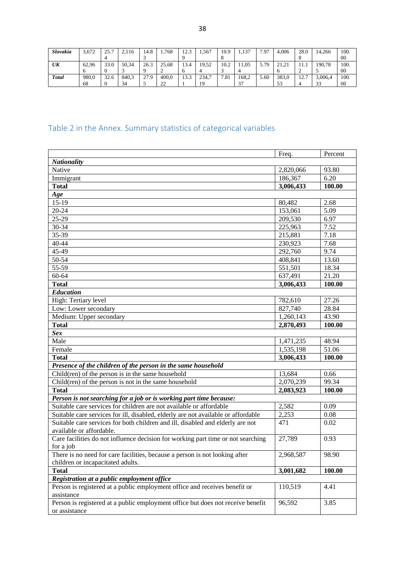| Slovakia     | 3.672 | 25.7 | 2,116 | 14.8 | 1,768              | 17 3<br>ن که 1 | . 567 | 10.9                 | 1.137        | 7.97 | 4.006               | 28.0       | 14,266       | 100. |
|--------------|-------|------|-------|------|--------------------|----------------|-------|----------------------|--------------|------|---------------------|------------|--------------|------|
|              |       |      |       |      |                    |                |       |                      |              |      |                     |            |              | 00   |
| UK           | 62.96 | 33.0 | 50.34 | 26.3 | 25.68              | 13.4           | 19.52 | 10.2                 | .05          | 5.79 | 21.21<br><u>_ _</u> | .          | 190.78       | 100. |
|              |       |      |       |      |                    |                |       |                      |              |      |                     |            |              | 00   |
| <b>Total</b> | 980.0 | 32.6 | 840.3 | 27.9 | 400.0              | 13.3           | 234,7 | '.81<br>$\mathbf{r}$ | 168.2        | 5.60 | 383.0               | 127<br>14. | 3,006.4      | 100. |
|              | 68    |      | 34    |      | $\mathcal{D}$<br>∸ |                |       |                      | $\sim$<br>د. |      | 53                  |            | $\sim$<br>33 | 00   |

# Table 2 in the Annex. Summary statistics of categorical variables

|                                                                                   | Freq.     | Percent |
|-----------------------------------------------------------------------------------|-----------|---------|
| <b>Nationality</b>                                                                |           |         |
| Native                                                                            | 2,820,066 | 93.80   |
| Immigrant                                                                         | 186,367   | 6.20    |
| <b>Total</b>                                                                      | 3,006,433 | 100.00  |
| Age                                                                               |           |         |
| $15 - 19$                                                                         | 80,482    | 2.68    |
| $20 - 24$                                                                         | 153,061   | 5.09    |
| 25-29                                                                             | 209,530   | 6.97    |
| 30-34                                                                             | 225,963   | 7.52    |
| 35-39                                                                             | 215,881   | 7.18    |
| 40-44                                                                             | 230,923   | 7.68    |
| 45-49                                                                             | 292,760   | 9.74    |
| 50-54                                                                             | 408,841   | 13.60   |
| 55-59                                                                             | 551,501   | 18.34   |
| 60-64                                                                             | 637,491   | 21.20   |
| <b>Total</b>                                                                      | 3,006,433 | 100.00  |
| <b>Education</b>                                                                  |           |         |
| High: Tertiary level                                                              | 782,610   | 27.26   |
| Low: Lower secondary                                                              | 827,740   | 28.84   |
| Medium: Upper secondary                                                           | 1,260,143 | 43.90   |
| <b>Total</b>                                                                      | 2,870,493 | 100.00  |
| <b>Sex</b>                                                                        |           |         |
| Male                                                                              | 1,471,235 | 48.94   |
| Female                                                                            | 1,535,198 | 51.06   |
| <b>Total</b>                                                                      | 3,006,433 | 100.00  |
| Presence of the children of the person in the same household                      |           |         |
| Child(ren) of the person is in the same household                                 | 13,684    | 0.66    |
| Child(ren) of the person is not in the same household                             | 2,070,239 | 99.34   |
| <b>Total</b>                                                                      | 2,083,923 | 100.00  |
| Person is not searching for a job or is working part time because:                |           |         |
| Suitable care services for children are not available or affordable               | 2,582     | 0.09    |
| Suitable care services for ill, disabled, elderly are not available or affordable | 2,253     | 0.08    |
| Suitable care services for both children and ill, disabled and elderly are not    | 471       | 0.02    |
| available or affordable.                                                          |           |         |
| Care facilities do not influence decision for working part time or not searching  | 27,789    | 0.93    |
| for a job                                                                         |           |         |
| There is no need for care facilities, because a person is not looking after       | 2,968,587 | 98.90   |
| children or incapacitated adults.                                                 |           |         |
| <b>Total</b>                                                                      | 3,001,682 | 100.00  |
| Registration at a public employment office                                        |           |         |
| Person is registered at a public employment office and receives benefit or        | 110,519   | 4.41    |
| assistance                                                                        |           |         |
| Person is registered at a public employment office but does not receive benefit   | 96,592    | 3.85    |
| or assistance                                                                     |           |         |